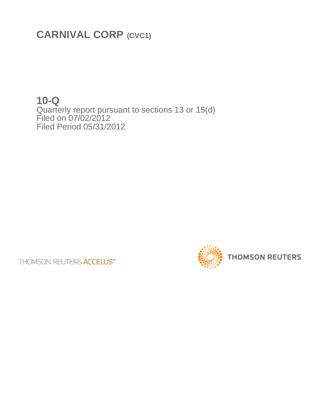# **CARNIVAL CORP (CVC1)**

**10-Q** Quarterly report pursuant to sections 13 or 15(d) Filed on 07/02/2012 Filed Period 05/31/2012

**THOMSON REUTERS ACCELUS™** 

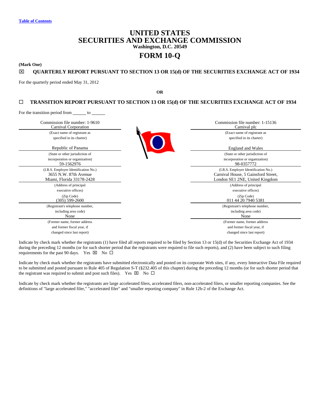## **UNITED STATES SECURITIES AND EXCHANGE COMMISSION Washington, D.C. 20549**

## **FORM 10-Q**

## **(Mark One)**

## x **QUARTERLY REPORT PURSUANT TO SECTION 13 OR 15(d) OF THE SECURITIES EXCHANGE ACT OF 1934**

For the quarterly period ended May 31, 2012

**OR**

## □ **TRANSITION REPORT PURSUANT TO SECTION 13 OR 15(d) OF THE SECURITIES EXCHANGE ACT OF 1934**

For the transition period from \_\_\_\_\_\_\_ to \_\_\_\_\_\_\_\_

| Commission file number: 1-9610       | Commission file number: 1-15136      |
|--------------------------------------|--------------------------------------|
| Carnival Corporation                 | Carnival plc                         |
| (Exact name of registrant as         | (Exact name of registrant as         |
| specified in its charter)            | specified in its charter)            |
| Republic of Panama                   | <b>England and Wales</b>             |
| (State or other jurisdiction of      | (State or other jurisdiction of      |
| incorporation or organization)       | incorporation or organization)       |
| 59-1562976                           | 98-0357772                           |
| (I.R.S. Employer Identification No.) | (I.R.S. Employer Identification No.) |
| 3655 N.W. 87th Avenue                | Carnival House, 5 Gainsford Street,  |
| Miami, Florida 33178-2428            | London SE1 2NE, United Kingdom       |
| (Address of principal                | (Address of principal                |
| executive offices)                   | executive offices)                   |
| (Zip Code)                           | (Zip Code)                           |
| (305) 599-2600                       | 011 44 20 7940 5381                  |
| (Registrant's telephone number,      | (Registrant's telephone number,      |
| including area code)                 | including area code)                 |
| None                                 | None                                 |
| (Former name, former address         | (Former name, former address         |
| and former fiscal year, if           | and former fiscal year, if           |
| changed since last report)           | changed since last report)           |

Indicate by check mark whether the registrants (1) have filed all reports required to be filed by Section 13 or 15(d) of the Securities Exchange Act of 1934 during the preceding 12 months (or for such shorter period that the registrants were required to file such reports), and (2) have been subject to such filing requirements for the past 90 days. Yes  $\boxtimes$  No  $\square$ 

Indicate by check mark whether the registrants have submitted electronically and posted on its corporate Web sites, if any, every Interactive Data File required to be submitted and posted pursuant to Rule 405 of Regulation S-T (§232.405 of this chapter) during the preceding 12 months (or for such shorter period that the registrant was required to submit and post such files). Yes  $\boxtimes$  No  $\square$ 

Indicate by check mark whether the registrants are large accelerated filers, accelerated filers, non-accelerated filers, or smaller reporting companies. See the definitions of "large accelerated filer," "accelerated filer" and "smaller reporting company" in Rule 12b-2 of the Exchange Act.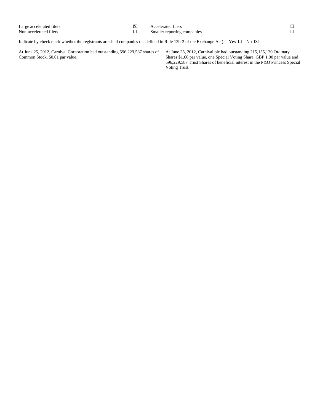| Large accelerated filers |
|--------------------------|
| Non-accelerated filers   |

 $\boxed{\boxtimes}$  Accelerated filers  $\boxed{\Box}$  Accelerated filers  $\boxed{\Box}$ Smaller reporting companies

Indicate by check mark whether the registrants are shell companies (as defined in Rule 12b-2 of the Exchange Act). Yes  $\Box$  No  $\boxtimes$ 

At June 25, 2012, Carnival Corporation had outstanding 596,229,587 shares of Common Stock, \$0.01 par value.

At June 25, 2012, Carnival plc had outstanding 215,155,130 Ordinary Shares \$1.66 par value, one Special Voting Share, GBP 1.00 par value and 596,229,587 Trust Shares of beneficial interest in the P&O Princess Special Voting Trust.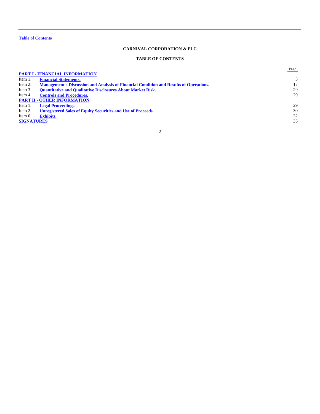## **CARNIVAL CORPORATION & PLC**

## **TABLE OF CONTENTS**

<span id="page-3-0"></span>

|                                                                                                          | Page |
|----------------------------------------------------------------------------------------------------------|------|
| <b>PART I - FINANCIAL INFORMATION</b>                                                                    |      |
| Item 1.<br><b>Financial Statements.</b>                                                                  | 3    |
| Item 2.<br><b>Management's Discussion and Analysis of Financial Condition and Results of Operations.</b> | 17   |
| Item 3.<br><b>Quantitative and Qualitative Disclosures About Market Risk.</b>                            | 29   |
| Item 4.<br><b>Controls and Procedures.</b>                                                               | 29   |
| <b>PART II - OTHER INFORMATION</b>                                                                       |      |
| Item 1.<br><b>Legal Proceedings.</b>                                                                     | 29   |
| Item 2.<br><b>Unregistered Sales of Equity Securities and Use of Proceeds.</b>                           | 30   |
| Item 6.<br><b>Exhibits.</b>                                                                              | 32   |
| <b>SIGNATURES</b>                                                                                        | 35   |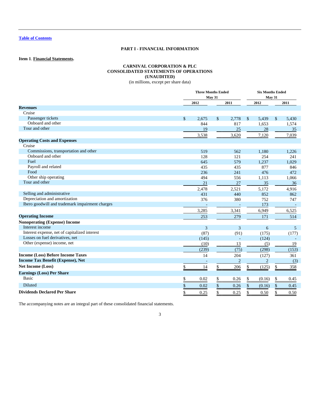## **PART I - FINANCIAL INFORMATION**

## <span id="page-4-0"></span>**Item 1**. **Financial Statements.**

## **CARNIVAL CORPORATION & PLC CONSOLIDATED STATEMENTS OF OPERATIONS (UNAUDITED)**

(in millions, except per share data)

|                                                 | <b>Three Months Ended</b><br>May 31 |                | <b>Six Months Ended</b><br>May 31 |    |       |  |
|-------------------------------------------------|-------------------------------------|----------------|-----------------------------------|----|-------|--|
|                                                 | 2012                                | 2011           | 2012                              |    | 2011  |  |
| <b>Revenues</b>                                 |                                     |                |                                   |    |       |  |
| Cruise                                          |                                     |                |                                   |    |       |  |
| Passenger tickets                               | \$<br>2,675                         | \$<br>2,778    | \$<br>5,439                       | \$ | 5,430 |  |
| Onboard and other                               | 844                                 | 817            | 1,653                             |    | 1,574 |  |
| Tour and other                                  | 19                                  | 25             | 28                                |    | 35    |  |
|                                                 | 3,538                               | 3,620          | 7,120                             |    | 7,039 |  |
| <b>Operating Costs and Expenses</b>             |                                     |                |                                   |    |       |  |
| Cruise                                          |                                     |                |                                   |    |       |  |
| Commissions, transportation and other           | 519                                 | 562            | 1,180                             |    | 1,226 |  |
| Onboard and other                               | 128                                 | 121            | 254                               |    | 241   |  |
| Fuel                                            | 645                                 | 579            | 1,237                             |    | 1,029 |  |
| Payroll and related                             | 435                                 | 435            | 877                               |    | 846   |  |
| Food                                            | 236                                 | 241            | 476                               |    | 472   |  |
| Other ship operating                            | 494                                 | 556            | 1,113                             |    | 1,066 |  |
| Tour and other                                  | 21                                  | 27             | 35                                |    | 36    |  |
|                                                 | 2,478                               | 2,521          | 5,172                             |    | 4,916 |  |
| Selling and administrative                      | 431                                 | 440            | 852                               |    | 862   |  |
| Depreciation and amortization                   | 376                                 | 380            | 752                               |    | 747   |  |
| Ibero goodwill and trademark impairment charges |                                     |                | 173                               |    |       |  |
|                                                 | 3,285                               | 3,341          | 6,949                             |    | 6,525 |  |
| <b>Operating Income</b>                         | 253                                 | 279            | 171                               |    | 514   |  |
| <b>Nonoperating (Expense) Income</b>            |                                     |                |                                   |    |       |  |
| Interest income                                 | 3                                   | 3              | 6                                 |    | 5     |  |
| Interest expense, net of capitalized interest   | (87)                                | (91)           | (175)                             |    | (177) |  |
| Losses on fuel derivatives, net                 | (145)                               | $\omega$       | (124)                             |    |       |  |
| Other (expense) income, net                     | (10)                                | 13             | (5)                               |    | 19    |  |
|                                                 | (239)                               | (75)           | (298)                             |    | (153) |  |
| <b>Income (Loss) Before Income Taxes</b>        | 14                                  | 204            | (127)                             |    | 361   |  |
| <b>Income Tax Benefit (Expense), Net</b>        | $\overline{\phantom{a}}$            | $\overline{2}$ | $\overline{2}$                    |    | (3)   |  |
| <b>Net Income (Loss)</b>                        | \$<br>14                            | \$<br>206      | \$<br>(125)                       | \$ | 358   |  |
| <b>Earnings (Loss) Per Share</b>                |                                     |                |                                   |    |       |  |
| <b>Basic</b>                                    | \$<br>0.02                          | \$<br>0.26     | \$<br>(0.16)                      | \$ | 0.45  |  |
| Diluted                                         | \$<br>0.02                          | \$<br>0.26     | \$<br>(0.16)                      | \$ | 0.45  |  |
| <b>Dividends Declared Per Share</b>             | \$<br>0.25                          | \$<br>0.25     | \$<br>0.50                        | \$ | 0.50  |  |

The accompanying notes are an integral part of these consolidated financial statements.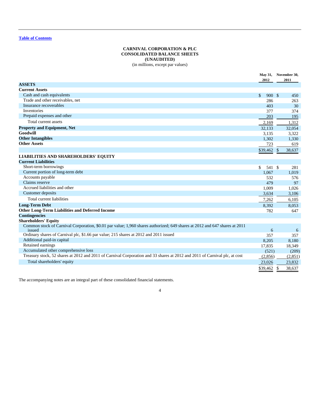## **CARNIVAL CORPORATION & PLC CONSOLIDATED BALANCE SHEETS (UNAUDITED)** (in millions, except par values)

**May 31, November 30,**

**2012 2011 ASSETS Current Assets** Cash and cash equivalents **6 150 and 2012** 12:00 and 2012 12:00 and 2012 12:00 and 2012 12:00 and 2012 12:00 and 2012 12:00 and 2012 12:00 and 2012 12:00 and 2012 12:00 and 2012 12:00 and 2012 12:00 and 2012 12:00 and 2012 Trade and other receivables, net 286 263 Insurance recoverables 403 30<br>
Inventories 377 374 374 Inventories 377 374 Prepaid expenses and other 203 195 Total current assets 2,169 1,312 **Property and Equipment, Net** 32,054<br> **Coodwill** 3.135 32,054<br> **Coodwill** 3.135 3322 **Goodwill** 3,135 3,322 **Other Intangibles** 1,302 1,330 1,330 1,330 1,330 1,330 1,330 1,330 1,330 1,330 1,330 1,330 1,330 1,330 1,330 1,330 1,330 1,330 1,330 1,330 1,330 1,330 1,330 1,330 1,330 1,330 1,330 1,330 1,330 1,330 1,330 1,330 1,330 1,33 **Other Assets** 723 619 \$39,462 \$ 38,637 **LIABILITIES AND SHAREHOLDERS' EQUITY Current Liabilities** Short-term borrowings <br>
Short-term borrowings <br>  $\frac{1,067}{1,019}$ Current portion of long-term debt Accounts payable 532 576<br>Claims reserve 532 576 Claims reserve **479** 97 Accrued liabilities and other 1,009 1,026 Customer deposits 3,106 Total current liabilities  $\overline{7,262}$  6,105 **Long-Term Debt** 8,392 8,053 **Other Long-Term Liabilities and Deferred Income** 782 647 **Contingencies Shareholders' Equity** Common stock of Carnival Corporation, \$0.01 par value; 1,960 shares authorized; 649 shares at 2012 and 647 shares at 2011 issued 6 6 6 6 6 6 6 6  $\pm 6$ Ordinary shares of Carnival plc, \$1.66 par value; 215 shares at 2012 and 2011 issued 357 357 357 357 Additional paid-in capital 8,205 8,180<br>Retained earnings 17.835 8,180<br>Retained earnings 17.835 18.349 Retained earnings 17,835 18,349 Accumulated other comprehensive loss (521) (209) Treasury stock, 52 shares at 2012 and 2011 of Carnival Corporation and 33 shares at 2012 and 2011 of Carnival plc, at cost (2,856) (2,851) Total shareholders' equity 23,832 \$39,462 \$ 38,637

The accompanying notes are an integral part of these consolidated financial statements.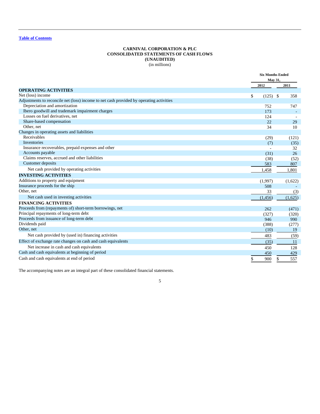## **CARNIVAL CORPORATION & PLC CONSOLIDATED STATEMENTS OF CASH FLOWS (UNAUDITED)** (in millions)

**Six Months Ended May 31, 2012 2011 OPERATING ACTIVITIES**<br>Net (loss) income Net (loss) income  $\frac{1}{25}$   $\frac{125}{358}$   $\frac{358}{358}$ Adjustments to reconcile net (loss) income to net cash provided by operating activities Depreciation and amortization 752 747 Ibero goodwill and trademark impairment charges 173 - Losses on fuel derivatives, net 124 - 124 - 124 - 124 - 125 Share-based compensation 124 - 125 Share-based compensation Share-based compensation<br>Other, net Other, net 34 10 Changes in operating assets and liabilities  $\text{Receivables}$  (121) (121)  $I$  Inventories (7) (35)  $(35)$ Insurance recoverables, prepaid expenses and other and the state of the state of the state of the state of the state of the state of the state of the state of the state of the state of the state of the state of the state o Accounts payable (31) 26 Claims reserves, accrued and other liabilities (38) (52) Customer deposits 583 807 Net cash provided by operating activities 1,801 and the state of the state 1,801 and 1,458 1,801 **INVESTING ACTIVITIES** Additions to property and equipment (1,622) (1,622) (1,622) (1,622) Insurance proceeds for the ship<br>Other, net Other, net 33 (3) Net cash used in investing activities  $(1,456)$  (1,625) **FINANCING ACTIVITIES** Proceeds from (repayments of) short-term borrowings, net 262 (471) Principal repayments of long-term debt (327) (320) Proceeds from issuance of long-term debt 990<br>Dividends paid (388) (277) Dividends paid (388) (277) Other, net (10) 19 Net cash provided by (used in) financing activities (59) (59) (59) Effect of exchange rate changes on cash and cash equivalents (35)  $\boxed{11}$ Net increase in cash and cash equivalents and cash equivalents and cash equivalents at beginning of period and cash equivalents at beginning of period and cash equivalents at beginning of period and cash equivalents at beg Cash and cash equivalents at beginning of period Cash and cash equivalents at end of period  $\overline{\$}$  900  $\overline{\$}$  557

The accompanying notes are an integral part of these consolidated financial statements.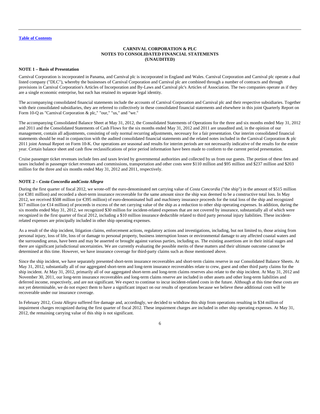## **CARNIVAL CORPORATION & PLC NOTES TO CONSOLIDATED FINANCIAL STATEMENTS (UNAUDITED)**

### **NOTE 1 – Basis of Presentation**

Carnival Corporation is incorporated in Panama, and Carnival plc is incorporated in England and Wales. Carnival Corporation and Carnival plc operate a dual listed company ("DLC"), whereby the businesses of Carnival Corporation and Carnival plc are combined through a number of contracts and through provisions in Carnival Corporation's Articles of Incorporation and By-Laws and Carnival plc's Articles of Association. The two companies operate as if they are a single economic enterprise, but each has retained its separate legal identity.

The accompanying consolidated financial statements include the accounts of Carnival Corporation and Carnival plc and their respective subsidiaries. Together with their consolidated subsidiaries, they are referred to collectively in these consolidated financial statements and elsewhere in this joint Quarterly Report on Form 10-Q as "Carnival Corporation & plc," "our," "us," and "we."

The accompanying Consolidated Balance Sheet at May 31, 2012, the Consolidated Statements of Operations for the three and six months ended May 31, 2012 and 2011 and the Consolidated Statements of Cash Flows for the six months ended May 31, 2012 and 2011 are unaudited and, in the opinion of our management, contain all adjustments, consisting of only normal recurring adjustments, necessary for a fair presentation. Our interim consolidated financial statements should be read in conjunction with the audited consolidated financial statements and the related notes included in the Carnival Corporation & plc 2011 joint Annual Report on Form 10-K. Our operations are seasonal and results for interim periods are not necessarily indicative of the results for the entire year. Certain balance sheet and cash flow reclassifications of prior period information have been made to conform to the current period presentation.

Cruise passenger ticket revenues include fees and taxes levied by governmental authorities and collected by us from our guests. The portion of these fees and taxes included in passenger ticket revenues and commissions, transportation and other costs were \$110 million and \$95 million and \$237 million and \$203 million for the three and six months ended May 31, 2012 and 2011, respectively.

## **NOTE 2 –** *Costa Concordia* **and***Costa Allegra*

During the first quarter of fiscal 2012, we wrote-off the euro-denominated net carrying value of *Costa Concordia* ("the ship") in the amount of \$515 million (or €381 million) and recorded a short-term insurance recoverable for the same amount since the ship was deemed to be a constructive total loss. In May 2012, we received \$508 million (or €395 million) of euro-denominated hull and machinery insurance proceeds for the total loss of the ship and recognized \$17 million (or €14 million) of proceeds in excess of the net carrying value of the ship as a reduction to other ship operating expenses. In addition, during the six months ended May 31, 2012, we recognized \$30 million for incident-related expenses that are not covered by insurance, substantially all of which were recognized in the first quarter of fiscal 2012, including a \$10 million insurance deductible related to third party personal injury liabilities. These incidentrelated expenses are principally included in other ship operating expenses.

As a result of the ship incident, litigation claims, enforcement actions, regulatory actions and investigations, including, but not limited to, those arising from personal injury, loss of life, loss of or damage to personal property, business interruption losses or environmental damage to any affected coastal waters and the surrounding areas, have been and may be asserted or brought against various parties, including us. The existing assertions are in their initial stages and there are significant jurisdictional uncertainties. We are currently evaluating the possible merits of these matters and their ultimate outcome cannot be determined at this time. However, we have insurance coverage for third-party claims such as those mentioned above.

Since the ship incident, we have separately presented short-term insurance recoverables and short-term claims reserve in our Consolidated Balance Sheets. At May 31, 2012, substantially all of our aggregated short-term and long-term insurance recoverables relate to crew, guest and other third party claims for the ship incident. At May 31, 2012, primarily all of our aggregated short-term and long-term claims reserves also relate to the ship incident. At May 31, 2012 and November 30, 2011, our long-term insurance recoverables and long-term claims reserve are included in other assets and other long-term liabilities and deferred income, respectively, and are not significant. We expect to continue to incur incident-related costs in the future. Although at this time these costs are not yet determinable, we do not expect them to have a significant impact on our results of operations because we believe these additional costs will be recoverable under our insurance coverage.

In February 2012, *Costa Allegra* suffered fire damage and, accordingly, we decided to withdraw this ship from operations resulting in \$34 million of impairment charges recognized during the first quarter of fiscal 2012. These impairment charges are included in other ship operating expenses. At May 31, 2012, the remaining carrying value of this ship is not significant.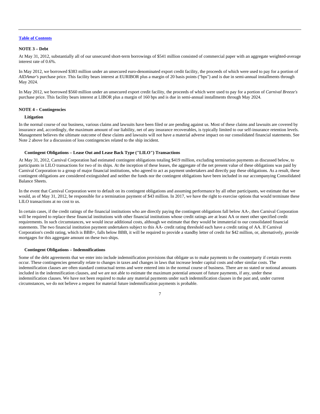## **NOTE 3 – Debt**

At May 31, 2012, substantially all of our unsecured short-term borrowings of \$541 million consisted of commercial paper with an aggregate weighted-average interest rate of 0.6%.

In May 2012, we borrowed \$383 million under an unsecured euro-denominated export credit facility, the proceeds of which were used to pay for a portion of *AIDAmar's* purchase price. This facility bears interest at EURIBOR plus a margin of 20 basis points ("bps") and is due in semi-annual installments through May 2024.

In May 2012, we borrowed \$560 million under an unsecured export credit facility, the proceeds of which were used to pay for a portion of *Carnival Breeze's* purchase price. This facility bears interest at LIBOR plus a margin of 160 bps and is due in semi-annual installments through May 2024.

### **NOTE 4 – Contingencies**

### **Litigation**

In the normal course of our business, various claims and lawsuits have been filed or are pending against us. Most of these claims and lawsuits are covered by insurance and, accordingly, the maximum amount of our liability, net of any insurance recoverables, is typically limited to our self-insurance retention levels. Management believes the ultimate outcome of these claims and lawsuits will not have a material adverse impact on our consolidated financial statements. See Note 2 above for a discussion of loss contingencies related to the ship incident.

## **Contingent Obligations – Lease Out and Lease Back Type ("LILO") Transactions**

At May 31, 2012, Carnival Corporation had estimated contingent obligations totaling \$419 million, excluding termination payments as discussed below, to participants in LILO transactions for two of its ships. At the inception of these leases, the aggregate of the net present value of these obligations was paid by Carnival Corporation to a group of major financial institutions, who agreed to act as payment undertakers and directly pay these obligations. As a result, these contingent obligations are considered extinguished and neither the funds nor the contingent obligations have been included in our accompanying Consolidated Balance Sheets.

In the event that Carnival Corporation were to default on its contingent obligations and assuming performance by all other participants, we estimate that we would, as of May 31, 2012, be responsible for a termination payment of \$43 million. In 2017, we have the right to exercise options that would terminate these LILO transactions at no cost to us.

In certain cases, if the credit ratings of the financial institutions who are directly paying the contingent obligations fall below AA-, then Carnival Corporation will be required to replace these financial institutions with other financial institutions whose credit ratings are at least AA or meet other specified credit requirements. In such circumstances, we would incur additional costs, although we estimate that they would be immaterial to our consolidated financial statements. The two financial institution payment undertakers subject to this AA- credit rating threshold each have a credit rating of AA. If Carnival Corporation's credit rating, which is BBB+, falls below BBB, it will be required to provide a standby letter of credit for \$42 million, or, alternatively, provide mortgages for this aggregate amount on these two ships.

#### **Contingent Obligations – Indemnifications**

Some of the debt agreements that we enter into include indemnification provisions that obligate us to make payments to the counterparty if certain events occur. These contingencies generally relate to changes in taxes and changes in laws that increase lender capital costs and other similar costs. The indemnification clauses are often standard contractual terms and were entered into in the normal course of business. There are no stated or notional amounts included in the indemnification clauses, and we are not able to estimate the maximum potential amount of future payments, if any, under these indemnification clauses. We have not been required to make any material payments under such indemnification clauses in the past and, under current circumstances, we do not believe a request for material future indemnification payments is probable.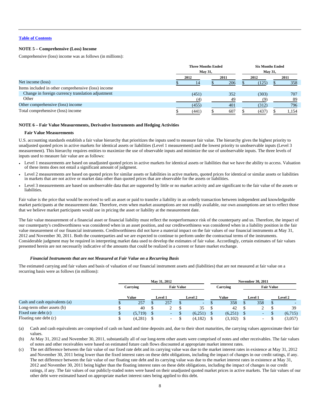## **NOTE 5 – Comprehensive (Loss) Income**

Comprehensive (loss) income was as follows (in millions):

|                                                     | <b>Three Months Ended</b> | <b>May 31,</b> |      | <b>Six Months Ended</b><br><b>May 31,</b> |       |  |       |
|-----------------------------------------------------|---------------------------|----------------|------|-------------------------------------------|-------|--|-------|
|                                                     | 2012                      |                | 2011 |                                           | 2012  |  | 2011  |
| Net income (loss)                                   | 14                        |                | 206  |                                           | (125) |  | 358   |
| Items included in other comprehensive (loss) income |                           |                |      |                                           |       |  |       |
| Change in foreign currency translation adjustment   | (451)                     |                | 352  |                                           | (303) |  | 707   |
| Other                                               |                           |                | 49   |                                           |       |  | 89    |
| Other comprehensive (loss) income                   | (455)                     |                | 401  |                                           | (312) |  | 796   |
| Total comprehensive (loss) income                   | (441)                     |                | 607  |                                           | (437) |  | 1,154 |

### **NOTE 6 – Fair Value Measurements, Derivative Instruments and Hedging Activities**

#### **Fair Value Measurements**

U.S. accounting standards establish a fair value hierarchy that prioritizes the inputs used to measure fair value. The hierarchy gives the highest priority to unadjusted quoted prices in active markets for identical assets or liabilities (Level 1 measurement) and the lowest priority to unobservable inputs (Level 3 measurement). This hierarchy requires entities to maximize the use of observable inputs and minimize the use of unobservable inputs. The three levels of inputs used to measure fair value are as follows:

- Level 1 measurements are based on unadjusted quoted prices in active markets for identical assets or liabilities that we have the ability to access. Valuation of these items does not entail a significant amount of judgment.
- Level 2 measurements are based on quoted prices for similar assets or liabilities in active markets, quoted prices for identical or similar assets or liabilities in markets that are not active or market data other than quoted prices that are observable for the assets or liabilities.
- Level 3 measurements are based on unobservable data that are supported by little or no market activity and are significant to the fair value of the assets or liabilities.

Fair value is the price that would be received to sell an asset or paid to transfer a liability in an orderly transaction between independent and knowledgeable market participants at the measurement date. Therefore, even when market assumptions are not readily available, our own assumptions are set to reflect those that we believe market participants would use in pricing the asset or liability at the measurement date.

The fair value measurement of a financial asset or financial liability must reflect the nonperformance risk of the counterparty and us. Therefore, the impact of our counterparty's creditworthiness was considered when in an asset position, and our creditworthiness was considered when in a liability position in the fair value measurement of our financial instruments. Creditworthiness did not have a material impact on the fair values of our financial instruments at May 31, 2012 and November 30, 2011. Both the counterparties and we are expected to continue to perform under the contractual terms of the instruments. Considerable judgment may be required in interpreting market data used to develop the estimates of fair value. Accordingly, certain estimates of fair values presented herein are not necessarily indicative of the amounts that could be realized in a current or future market exchange.

## *Financial Instruments that are not Measured at Fair Value on a Recurring Basis*

The estimated carrying and fair values and basis of valuation of our financial instrument assets and (liabilities) that are not measured at fair value on a recurring basis were as follows (in millions):

|                               |                 | May 31, 2012             |                |                          | <b>November 30, 2011</b> |          |                   |     |    |         |  |  |
|-------------------------------|-----------------|--------------------------|----------------|--------------------------|--------------------------|----------|-------------------|-----|----|---------|--|--|
|                               | <b>Carrying</b> | <b>Fair Value</b>        |                |                          |                          | Carrying | <b>Fair Value</b> |     |    |         |  |  |
|                               | <b>Value</b>    | <b>Level 1</b>           | <b>Level 2</b> |                          | Value                    |          | <b>Level 1</b>    |     |    | Level 2 |  |  |
| Cash and cash equivalents (a) | 257             | 257                      |                | $\overline{\phantom{a}}$ | Ъ                        | 358      |                   | 358 | J. |         |  |  |
| Long-term other assets (b)    | 40              | ∠                        |                | 35                       |                          | 42       | S                 |     |    | 39      |  |  |
| Fixed rate debt (c)           | (5,719)         | $\overline{\phantom{0}}$ |                | (6,251)                  |                          | (6,251)  |                   | ۰.  |    | (6,715) |  |  |
| Floating rate debt (c)        | (4,281)         | $\overline{\phantom{0}}$ |                | (4,182)                  |                          | (3,102)  |                   | ۰.  |    | (3,057) |  |  |

(a) Cash and cash equivalents are comprised of cash on hand and time deposits and, due to their short maturities, the carrying values approximate their fair values.

(b) At May 31, 2012 and November 30, 2011, substantially all of our long-term other assets were comprised of notes and other receivables. The fair values of notes and other receivables were based on estimated future cash flows discounted at appropriate market interest rates.

(c) The net difference between the fair value of our fixed rate debt and its carrying value was due to the market interest rates in existence at May 31, 2012 and November 30, 2011 being lower than the fixed interest rates on these debt obligations, including the impact of changes in our credit ratings, if any. The net difference between the fair value of our floating rate debt and its carrying value was due to the market interest rates in existence at May 31, 2012 and November 30, 2011 being higher than the floating interest rates on these debt obligations, including the impact of changes in our credit ratings, if any. The fair values of our publicly-traded notes were based on their unadjusted quoted market prices in active markets. The fair values of our other debt were estimated based on appropriate market interest rates being applied to this debt.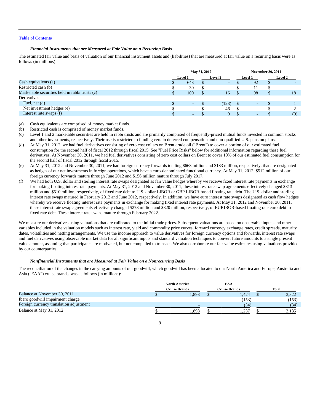## *Financial Instruments that are Measured at Fair Value on a Recurring Basis*

The estimated fair value and basis of valuation of our financial instrument assets and (liabilities) that are measured at fair value on a recurring basis were as follows (in millions):

|                                                |                          | May 31, 2012 | <b>November 30, 2011</b> |                |                          |     |                |
|------------------------------------------------|--------------------------|--------------|--------------------------|----------------|--------------------------|-----|----------------|
|                                                | Level 1                  |              | <b>Level 2</b>           | <b>Level 1</b> |                          |     | <b>Level 2</b> |
| Cash equivalents (a)                           | 643                      | ъ            | ۰.                       |                | 92                       | P   |                |
| Restricted cash (b)                            | 30                       |              | $\sim$                   |                |                          |     |                |
| Marketable securities held in rabbi trusts (c) | 100                      |              | 16                       |                | 98                       | S   | 18             |
| Derivatives                                    |                          |              |                          |                |                          |     |                |
| Fuel, net $(d)$                                | $\overline{\phantom{0}}$ |              | (123)                    |                | $\overline{\phantom{a}}$ | кD. |                |
| Net investment hedges (e)                      | $\overline{\phantom{a}}$ |              | 46                       |                |                          |     |                |
| Interest rate swaps (f)                        | $\overline{\phantom{a}}$ |              | 9                        |                | -                        |     | (9)            |

(a) Cash equivalents are comprised of money market funds.

- (b) Restricted cash is comprised of money market funds.
- (c) Level 1 and 2 marketable securities are held in rabbi trusts and are primarily comprised of frequently-priced mutual funds invested in common stocks and other investments, respectively. Their use is restricted to funding certain deferred compensation and non-qualified U.S. pension plans.
- (d) At May 31, 2012, we had fuel derivatives consisting of zero cost collars on Brent crude oil ("Brent") to cover a portion of our estimated fuel consumption for the second half of fiscal 2012 through fiscal 2015. See "Fuel Price Risks" below for additional information regarding these fuel derivatives. At November 30, 2011, we had fuel derivatives consisting of zero cost collars on Brent to cover 10% of our estimated fuel consumption for the second half of fiscal 2012 through fiscal 2015.
- (e) At May 31, 2012 and November 30, 2011, we had foreign currency forwards totaling \$668 million and \$183 million, respectively, that are designated as hedges of our net investments in foreign operations, which have a euro-denominated functional currency. At May 31, 2012, \$512 million of our foreign currency forwards mature through June 2012 and \$156 million mature through July 2017.
- (f) We had both U.S. dollar and sterling interest rate swaps designated as fair value hedges whereby we receive fixed interest rate payments in exchange for making floating interest rate payments. At May 31, 2012 and November 30, 2011, these interest rate swap agreements effectively changed \$313 million and \$510 million, respectively, of fixed rate debt to U.S. dollar LIBOR or GBP LIBOR-based floating rate debt. The U.S. dollar and sterling interest rate swaps matured in February 2012 and June 2012, respectively. In addition, we have euro interest rate swaps designated as cash flow hedges whereby we receive floating interest rate payments in exchange for making fixed interest rate payments. At May 31, 2012 and November 30, 2011, these interest rate swap agreements effectively changed \$273 million and \$320 million, respectively, of EURIBOR-based floating rate euro debt to fixed rate debt. These interest rate swaps mature through February 2022.

We measure our derivatives using valuations that are calibrated to the initial trade prices. Subsequent valuations are based on observable inputs and other variables included in the valuation models such as interest rate, yield and commodity price curves, forward currency exchange rates, credit spreads, maturity dates, volatilities and netting arrangements. We use the income approach to value derivatives for foreign currency options and forwards, interest rate swaps and fuel derivatives using observable market data for all significant inputs and standard valuation techniques to convert future amounts to a single present value amount, assuming that participants are motivated, but not compelled to transact. We also corroborate our fair value estimates using valuations provided by our counterparties.

### *Nonfinancial Instruments that are Measured at Fair Value on a Nonrecurring Basis*

The reconciliation of the changes in the carrying amounts of our goodwill, which goodwill has been allocated to our North America and Europe, Australia and Asia ("EAA") cruise brands, was as follows (in millions):

|                                         | <b>North America</b> | EAA                  |       |
|-----------------------------------------|----------------------|----------------------|-------|
|                                         | <b>Cruise Brands</b> | <b>Cruise Brands</b> | Total |
| Balance at November 30, 2011            | 1,898                | .424                 | 3,322 |
| Ibero goodwill impairment charge        |                      | (153)                | (153) |
| Foreign currency translation adjustment |                      | (34)                 | (34)  |
| Balance at May 31, 2012                 | .398                 | . 237                | 3,135 |

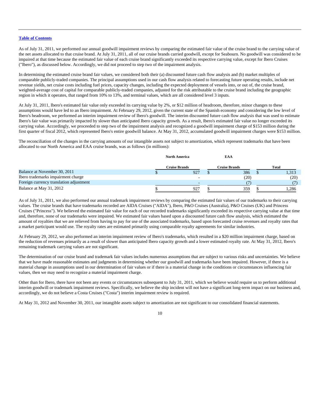As of July 31, 2011, we performed our annual goodwill impairment reviews by comparing the estimated fair value of the cruise brand to the carrying value of the net assets allocated to that cruise brand. At July 31, 2011, all of our cruise brands carried goodwill, except for Seabourn. No goodwill was considered to be impaired at that time because the estimated fair value of each cruise brand significantly exceeded its respective carrying value, except for Ibero Cruises ("Ibero"), as discussed below. Accordingly, we did not proceed to step two of the impairment analysis.

In determining the estimated cruise brand fair values, we considered both their (a) discounted future cash flow analysis and (b) market multiples of comparable publicly-traded companies. The principal assumptions used in our cash flow analysis related to forecasting future operating results, include net revenue yields, net cruise costs including fuel prices, capacity changes, including the expected deployment of vessels into, or out of, the cruise brand, weighted-average cost of capital for comparable publicly-traded companies, adjusted for the risk attributable to the cruise brand including the geographic region in which it operates, that ranged from 10% to 13%, and terminal values, which are all considered level 3 inputs.

At July 31, 2011, Ibero's estimated fair value only exceeded its carrying value by 2%, or \$12 million of headroom, therefore, minor changes to these assumptions would have led to an Ibero impairment. At February 29, 2012, given the current state of the Spanish economy and considering the low level of Ibero's headroom, we performed an interim impairment review of Ibero's goodwill. The interim discounted future cash flow analysis that was used to estimate Ibero's fair value was primarily impacted by slower than anticipated Ibero capacity growth. As a result, Ibero's estimated fair value no longer exceeded its carrying value. Accordingly, we proceeded to step two of the impairment analysis and recognized a goodwill impairment charge of \$153 million during the first quarter of fiscal 2012, which represented Ibero's entire goodwill balance. At May 31, 2012, accumulated goodwill impairment charges were \$153 million.

The reconciliation of the changes in the carrying amounts of our intangible assets not subject to amortization, which represent trademarks that have been allocated to our North America and EAA cruise brands, was as follows (in millions):

|                                         | <b>North America</b> | EAA                  |              |
|-----------------------------------------|----------------------|----------------------|--------------|
|                                         | <b>Cruise Brands</b> | <b>Cruise Brands</b> | <b>Total</b> |
| Balance at November 30, 2011            | 927                  | 386                  | 1,313        |
| Ibero trademarks impairment charge      | -                    | (20)                 | (20)         |
| Foreign currency translation adjustment |                      |                      |              |
| Balance at May 31, 2012                 | 927                  | 359                  | 1.286        |

As of July 31, 2011, we also performed our annual trademark impairment reviews by comparing the estimated fair values of our trademarks to their carrying values. The cruise brands that have trademarks recorded are AIDA Cruises ("AIDA"), Ibero, P&O Cruises (Australia), P&O Cruises (UK) and Princess Cruises ("Princess"). We believed the estimated fair value for each of our recorded trademarks significantly exceeded its respective carrying value at that time and, therefore, none of our trademarks were impaired. We estimated fair values based upon a discounted future cash flow analysis, which estimated the amount of royalties that we are relieved from having to pay for use of the associated trademarks, based upon forecasted cruise revenues and royalty rates that a market participant would use. The royalty rates are estimated primarily using comparable royalty agreements for similar industries.

At February 29, 2012, we also performed an interim impairment review of Ibero's trademarks, which resulted in a \$20 million impairment charge, based on the reduction of revenues primarily as a result of slower than anticipated Ibero capacity growth and a lower estimated royalty rate. At May 31, 2012, Ibero's remaining trademark carrying values are not significant.

The determination of our cruise brand and trademark fair values includes numerous assumptions that are subject to various risks and uncertainties. We believe that we have made reasonable estimates and judgments in determining whether our goodwill and trademarks have been impaired. However, if there is a material change in assumptions used in our determination of fair values or if there is a material change in the conditions or circumstances influencing fair values, then we may need to recognize a material impairment charge.

Other than for Ibero, there have not been any events or circumstances subsequent to July 31, 2011, which we believe would require us to perform additional interim goodwill or trademark impairment reviews. Specifically, we believe the ship incident will not have a significant long-term impact on our business and, accordingly, we do not believe a Costa Cruises ("Costa") interim impairment review is required.

At May 31, 2012 and November 30, 2011, our intangible assets subject to amortization are not significant to our consolidated financial statements.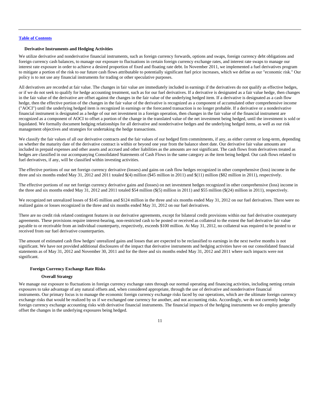## **Derivative Instruments and Hedging Activities**

We utilize derivative and nonderivative financial instruments, such as foreign currency forwards, options and swaps, foreign currency debt obligations and foreign currency cash balances, to manage our exposure to fluctuations in certain foreign currency exchange rates, and interest rate swaps to manage our interest rate exposure in order to achieve a desired proportion of fixed and floating rate debt. In November 2011, we implemented a fuel derivatives program to mitigate a portion of the risk to our future cash flows attributable to potentially significant fuel price increases, which we define as our "economic risk." Our policy is to not use any financial instruments for trading or other speculative purposes.

All derivatives are recorded at fair value. The changes in fair value are immediately included in earnings if the derivatives do not qualify as effective hedges, or if we do not seek to qualify for hedge accounting treatment, such as for our fuel derivatives. If a derivative is designated as a fair value hedge, then changes in the fair value of the derivative are offset against the changes in the fair value of the underlying hedged item. If a derivative is designated as a cash flow hedge, then the effective portion of the changes in the fair value of the derivative is recognized as a component of accumulated other comprehensive income ("AOCI") until the underlying hedged item is recognized in earnings or the forecasted transaction is no longer probable. If a derivative or a nonderivative financial instrument is designated as a hedge of our net investment in a foreign operation, then changes in the fair value of the financial instrument are recognized as a component of AOCI to offset a portion of the change in the translated value of the net investment being hedged, until the investment is sold or liquidated. We formally document hedging relationships for all derivative and nonderivative hedges and the underlying hedged items, as well as our risk management objectives and strategies for undertaking the hedge transactions.

We classify the fair values of all our derivative contracts and the fair values of our hedged firm commitments, if any, as either current or long-term, depending on whether the maturity date of the derivative contract is within or beyond one year from the balance sheet date. Our derivative fair value amounts are included in prepaid expenses and other assets and accrued and other liabilities as the amounts are not significant. The cash flows from derivatives treated as hedges are classified in our accompanying Consolidated Statements of Cash Flows in the same category as the item being hedged. Our cash flows related to fuel derivatives, if any, will be classified within investing activities.

The effective portions of our net foreign currency derivative (losses) and gains on cash flow hedges recognized in other comprehensive (loss) income in the three and six months ended May 31, 2012 and 2011 totaled \$(4) million (\$45 million in 2011) and \$(11) million (\$82 million in 2011), respectively.

The effective portions of our net foreign currency derivative gains and (losses) on net investment hedges recognized in other comprehensive (loss) income in the three and six months ended May 31, 2012 and 2011 totaled \$54 million (\$(5) million in 2011) and \$55 million (\$(24) million in 2011), respectively.

We recognized net unrealized losses of \$145 million and \$124 million in the three and six months ended May 31, 2012 on our fuel derivatives. There were no realized gains or losses recognized in the three and six months ended May 31, 2012 on our fuel derivatives.

There are no credit risk related contingent features in our derivative agreements, except for bilateral credit provisions within our fuel derivative counterparty agreements. These provisions require interest-bearing, non-restricted cash to be posted or received as collateral to the extent the fuel derivative fair value payable to or receivable from an individual counterparty, respectively, exceeds \$100 million. At May 31, 2012, no collateral was required to be posted to or received from our fuel derivative counterparties.

The amount of estimated cash flow hedges' unrealized gains and losses that are expected to be reclassified to earnings in the next twelve months is not significant. We have not provided additional disclosures of the impact that derivative instruments and hedging activities have on our consolidated financial statements as of May 31, 2012 and November 30, 2011 and for the three and six months ended May 31, 2012 and 2011 where such impacts were not significant.

#### **Foreign Currency Exchange Rate Risks**

#### **Overall Strategy**

We manage our exposure to fluctuations in foreign currency exchange rates through our normal operating and financing activities, including netting certain exposures to take advantage of any natural offsets and, when considered appropriate, through the use of derivative and nonderivative financial instruments. Our primary focus is to manage the economic foreign currency exchange risks faced by our operations, which are the ultimate foreign currency exchange risks that would be realized by us if we exchanged one currency for another, and not accounting risks. Accordingly, we do not currently hedge foreign currency exchange accounting risks with derivative financial instruments. The financial impacts of the hedging instruments we do employ generally offset the changes in the underlying exposures being hedged.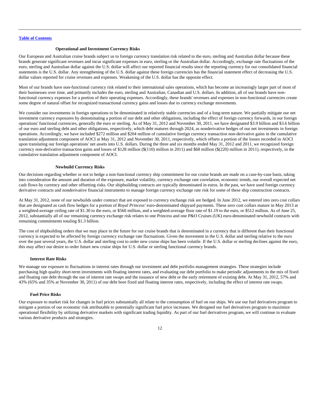## **Operational and Investment Currency Risks**

Our European and Australian cruise brands subject us to foreign currency translation risk related to the euro, sterling and Australian dollar because these brands generate significant revenues and incur significant expenses in euro, sterling or the Australian dollar. Accordingly, exchange rate fluctuations of the euro, sterling and Australian dollar against the U.S. dollar will affect our reported financial results since the reporting currency for our consolidated financial statements is the U.S. dollar. Any strengthening of the U.S. dollar against these foreign currencies has the financial statement effect of decreasing the U.S. dollar values reported for cruise revenues and expenses. Weakening of the U.S. dollar has the opposite effect.

Most of our brands have non-functional currency risk related to their international sales operations, which has become an increasingly larger part of most of their businesses over time, and primarily includes the euro, sterling and Australian, Canadian and U.S. dollars. In addition, all of our brands have nonfunctional currency expenses for a portion of their operating expenses. Accordingly, these brands' revenues and expenses in non-functional currencies create some degree of natural offset for recognized transactional currency gains and losses due to currency exchange movements.

We consider our investments in foreign operations to be denominated in relatively stable currencies and of a long-term nature. We partially mitigate our net investment currency exposures by denominating a portion of our debt and other obligations, including the effect of foreign currency forwards, in our foreign operations' functional currencies, generally the euro or sterling. As of May 31, 2012 and November 30, 2011, we have designated \$3.9 billion and \$3.6 billion of our euro and sterling debt and other obligations, respectively, which debt matures through 2024, as nonderivative hedges of our net investments in foreign operations. Accordingly, we have included \$272 million and \$204 million of cumulative foreign currency transaction non-derivative gains in the cumulative translation adjustment component of AOCI at May 31, 2012 and November 30, 2011, respectively, which offsets a portion of the losses recorded in AOCI upon translating our foreign operations' net assets into U.S. dollars. During the three and six months ended May 31, 2012 and 2011, we recognized foreign currency non-derivative transaction gains and losses of \$128 million (\$(110) million in 2011) and \$68 million (\$(220) million in 2011), respectively, in the cumulative translation adjustment component of AOCI.

#### **Newbuild Currency Risks**

Our decisions regarding whether or not to hedge a non-functional currency ship commitment for our cruise brands are made on a case-by-case basis, taking into consideration the amount and duration of the exposure, market volatility, currency exchange rate correlation, economic trends, our overall expected net cash flows by currency and other offsetting risks. Our shipbuilding contracts are typically denominated in euros. In the past, we have used foreign currency derivative contracts and nonderivative financial instruments to manage foreign currency exchange rate risk for some of these ship construction contracts.

At May 31, 2012, none of our newbuilds under contract that are exposed to currency exchange risk are hedged. In June 2012, we entered into zero cost collars that are designated as cash flow hedges for a portion of *Royal Princess'* euro-denominated shipyard payments. These zero cost collars mature in May 2013 at a weighted-average ceiling rate of \$1.30 to the euro, or \$560 million, and a weighted-average floor rate of \$1.19 to the euro, or \$512 million. As of June 25, 2012, substantially all of our remaining currency exchange risk relates to one Princess and one P&O Cruises (UK) euro-denominated newbuild contracts with remaining commitments totaling \$1.3 billion.

The cost of shipbuilding orders that we may place in the future for our cruise brands that is denominated in a currency that is different than their functional currency is expected to be affected by foreign currency exchange rate fluctuations. Given the movement in the U.S. dollar and sterling relative to the euro over the past several years, the U.S. dollar and sterling cost to order new cruise ships has been volatile. If the U.S. dollar or sterling declines against the euro, this may affect our desire to order future new cruise ships for U.S. dollar or sterling functional currency brands.

#### **Interest Rate Risks**

We manage our exposure to fluctuations in interest rates through our investment and debt portfolio management strategies. These strategies include purchasing high quality short-term investments with floating interest rates, and evaluating our debt portfolio to make periodic adjustments to the mix of fixed and floating rate debt through the use of interest rate swaps and the issuance of new debt or the early retirement of existing debt. At May 31, 2012, 57% and 43% (65% and 35% at November 30, 2011) of our debt bore fixed and floating interest rates, respectively, including the effect of interest rate swaps.

#### **Fuel Price Risks**

Our exposure to market risk for changes in fuel prices substantially all relate to the consumption of fuel on our ships. We use our fuel derivatives program to mitigate a portion of our economic risk attributable to potentially significant fuel price increases. We designed our fuel derivatives program to maximize operational flexibility by utilizing derivative markets with significant trading liquidity. As part of our fuel derivatives program, we will continue to evaluate various derivative products and strategies.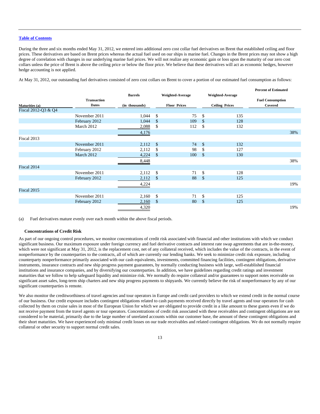During the three and six months ended May 31, 2012, we entered into additional zero cost collar fuel derivatives on Brent that established ceiling and floor prices. These derivatives are based on Brent prices whereas the actual fuel used on our ships is marine fuel. Changes in the Brent prices may not show a high degree of correlation with changes in our underlying marine fuel prices. We will not realize any economic gain or loss upon the maturity of our zero cost collars unless the price of Brent is above the ceiling price or below the floor price. We believe that these derivatives will act as economic hedges, however hedge accounting is not applied.

At May 31, 2012, our outstanding fuel derivatives consisted of zero cost collars on Brent to cover a portion of our estimated fuel consumption as follows:

|                     |                    |                |               |                         |                    |                         | <b>Percent of Estimated</b> |  |
|---------------------|--------------------|----------------|---------------|-------------------------|--------------------|-------------------------|-----------------------------|--|
|                     |                    | <b>Barrels</b> |               | <b>Weighted-Average</b> |                    | <b>Weighted-Average</b> |                             |  |
|                     | <b>Transaction</b> |                |               |                         |                    |                         | <b>Fuel Consumption</b>     |  |
| Maturities (a)      | <b>Dates</b>       | (in thousands) |               | <b>Floor Prices</b>     |                    | <b>Ceiling Prices</b>   | Covered                     |  |
| Fiscal 2012-Q3 & Q4 |                    |                |               |                         |                    |                         |                             |  |
|                     | November 2011      | 1,044          | \$            | 75                      | \$                 | 135                     |                             |  |
|                     | February 2012      | 1,044          | $\mathcal{S}$ | 109                     | $\mathbf{s}$       | 128                     |                             |  |
|                     | March 2012         | 2,088          | <sup>\$</sup> | 112                     | \$                 | 132                     |                             |  |
|                     |                    | 4,176          |               |                         |                    |                         | 38%                         |  |
| Fiscal 2013         |                    |                |               |                         |                    |                         |                             |  |
|                     | November 2011      | 2,112          | -\$           | 74                      | $\mathcal{S}$      | 132                     |                             |  |
|                     | February 2012      | 2,112          | <sup>\$</sup> | 98                      | \$                 | 127                     |                             |  |
|                     | March 2012         | 4,224          | $\mathcal{S}$ | 100                     | $\mathcal{S}$      | 130                     |                             |  |
|                     |                    | 8,448          |               |                         |                    |                         | 38%                         |  |
| Fiscal 2014         |                    |                |               |                         |                    |                         |                             |  |
|                     | November 2011      | 2,112          | $\mathcal{S}$ | 71                      | \$                 | 128                     |                             |  |
|                     | February 2012      | 2,112          | $\sqrt{5}$    | 88                      | \$                 | 125                     |                             |  |
|                     |                    | 4,224          |               |                         |                    |                         | 19%                         |  |
| Fiscal 2015         |                    |                |               |                         |                    |                         |                             |  |
|                     | November 2011      | 2,160          | \$            | 71                      | $\mathbf{\hat{S}}$ | 125                     |                             |  |
|                     | February 2012      | 2,160          | $\sqrt{3}$    | 80                      | \$                 | 125                     |                             |  |
|                     |                    | 4,320          |               |                         |                    |                         | 19%                         |  |

(a) Fuel derivatives mature evenly over each month within the above fiscal periods.

## **Concentrations of Credit Risk**

As part of our ongoing control procedures, we monitor concentrations of credit risk associated with financial and other institutions with which we conduct significant business. Our maximum exposure under foreign currency and fuel derivative contracts and interest rate swap agreements that are in-the-money, which were not significant at May 31, 2012, is the replacement cost, net of any collateral received, which includes the value of the contracts, in the event of nonperformance by the counterparties to the contracts, all of which are currently our lending banks. We seek to minimize credit risk exposure, including counterparty nonperformance primarily associated with our cash equivalents, investments, committed financing facilities, contingent obligations, derivative instruments, insurance contracts and new ship progress payment guarantees, by normally conducting business with large, well-established financial institutions and insurance companies, and by diversifying our counterparties. In addition, we have guidelines regarding credit ratings and investment maturities that we follow to help safeguard liquidity and minimize risk. We normally do require collateral and/or guarantees to support notes receivable on significant asset sales, long-term ship charters and new ship progress payments to shipyards. We currently believe the risk of nonperformance by any of our significant counterparties is remote.

We also monitor the creditworthiness of travel agencies and tour operators in Europe and credit card providers to which we extend credit in the normal course of our business. Our credit exposure includes contingent obligations related to cash payments received directly by travel agents and tour operators for cash collected by them on cruise sales in most of the European Union for which we are obligated to provide credit in a like amount to these guests even if we do not receive payment from the travel agents or tour operators. Concentrations of credit risk associated with these receivables and contingent obligations are not considered to be material, primarily due to the large number of unrelated accounts within our customer base, the amount of these contingent obligations and their short maturities. We have experienced only minimal credit losses on our trade receivables and related contingent obligations. We do not normally require collateral or other security to support normal credit sales.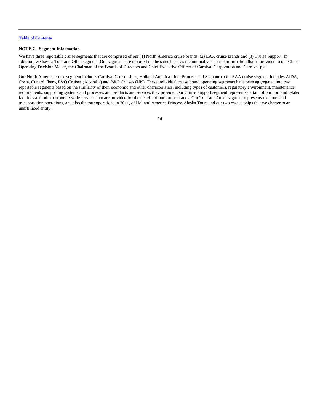## **NOTE 7 – Segment Information**

We have three reportable cruise segments that are comprised of our (1) North America cruise brands, (2) EAA cruise brands and (3) Cruise Support. In addition, we have a Tour and Other segment. Our segments are reported on the same basis as the internally reported information that is provided to our Chief Operating Decision Maker, the Chairman of the Boards of Directors and Chief Executive Officer of Carnival Corporation and Carnival plc.

Our North America cruise segment includes Carnival Cruise Lines, Holland America Line, Princess and Seabourn. Our EAA cruise segment includes AIDA, Costa, Cunard, Ibero, P&O Cruises (Australia) and P&O Cruises (UK). These individual cruise brand operating segments have been aggregated into two reportable segments based on the similarity of their economic and other characteristics, including types of customers, regulatory environment, maintenance requirements, supporting systems and processes and products and services they provide. Our Cruise Support segment represents certain of our port and related facilities and other corporate-wide services that are provided for the benefit of our cruise brands. Our Tour and Other segment represents the hotel and transportation operations, and also the tour operations in 2011, of Holland America Princess Alaska Tours and our two owned ships that we charter to an unaffiliated entity.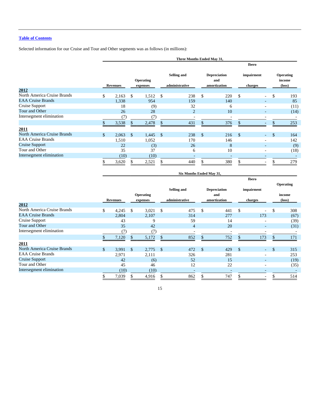Selected information for our Cruise and Tour and Other segments was as follows (in millions):

|                             |    |                                          |               |       |                    | Three Months Ended May 31,           |                                            |     |                       |                          |                                               |
|-----------------------------|----|------------------------------------------|---------------|-------|--------------------|--------------------------------------|--------------------------------------------|-----|-----------------------|--------------------------|-----------------------------------------------|
|                             |    |                                          |               |       |                    |                                      |                                            |     |                       | <b>Ibero</b>             |                                               |
|                             |    | Operating<br><b>Revenues</b><br>expenses |               |       |                    | <b>Selling and</b><br>administrative | <b>Depreciation</b><br>and<br>amortization |     | impairment<br>charges |                          | <b>Operating</b><br>income<br>$(\text{loss})$ |
| 2012                        |    |                                          |               |       |                    |                                      |                                            |     |                       |                          |                                               |
| North America Cruise Brands | \$ | 2,163                                    | \$            | 1,512 | \$                 | 238                                  | \$                                         | 220 | <sup>\$</sup>         | $\overline{\phantom{a}}$ | \$<br>193                                     |
| <b>EAA Cruise Brands</b>    |    | 1,338                                    |               | 954   |                    | 159                                  |                                            | 140 |                       | $\overline{\phantom{a}}$ | 85                                            |
| Cruise Support              |    | 18                                       |               | (9)   |                    | 32                                   |                                            | 6   |                       |                          | (11)                                          |
| Tour and Other              |    | 26                                       |               | 28    |                    | $\overline{2}$                       |                                            | 10  |                       | $\overline{\phantom{0}}$ | (14)                                          |
| Intersegment elimination    |    | (7)                                      |               | (7)   |                    |                                      |                                            | ٠   |                       |                          |                                               |
|                             |    | 3,538                                    | \$            | 2,478 | \$                 | 431                                  |                                            | 376 |                       |                          | 253                                           |
| 2011                        |    |                                          |               |       |                    |                                      |                                            |     |                       |                          |                                               |
| North America Cruise Brands | \$ | 2,063                                    | $\mathbf{\$}$ | 1,445 | $\mathbf{\hat{S}}$ | 238                                  | $\mathbf{\$}$                              | 216 | $\mathcal{S}$         |                          | \$<br>164                                     |
| <b>EAA Cruise Brands</b>    |    | 1,510                                    |               | 1,052 |                    | 170                                  |                                            | 146 |                       |                          | 142                                           |
| Cruise Support              |    | 22                                       |               | (3)   |                    | 26                                   |                                            | 8   |                       | $\overline{\phantom{a}}$ | (9)                                           |
| Tour and Other              |    | 35                                       |               | 37    |                    | 6                                    |                                            | 10  |                       | $\overline{\phantom{a}}$ | (18)                                          |
| Intersegment elimination    |    | (10)                                     |               | (10)  |                    |                                      |                                            |     |                       |                          |                                               |
|                             |    | 3,620                                    |               | 2,521 |                    | 440                                  |                                            | 380 |                       |                          | 279                                           |

|                             | Six Months Ended May 31, |                 |              |                  |                |                    |              |                     |               |                          |                        |                 |  |  |
|-----------------------------|--------------------------|-----------------|--------------|------------------|----------------|--------------------|--------------|---------------------|---------------|--------------------------|------------------------|-----------------|--|--|
|                             |                          |                 |              |                  |                |                    |              |                     |               | <b>Ibero</b>             |                        |                 |  |  |
|                             |                          |                 |              |                  |                | <b>Selling and</b> |              | <b>Depreciation</b> |               | impairment               |                        | Operating       |  |  |
|                             |                          |                 |              | <b>Operating</b> |                |                    | and          |                     |               |                          |                        | income          |  |  |
|                             |                          | <b>Revenues</b> | expenses     |                  | administrative |                    | amortization |                     |               | charges                  |                        | $(\text{loss})$ |  |  |
| 2012                        |                          |                 |              |                  |                |                    |              |                     |               |                          |                        |                 |  |  |
| North America Cruise Brands | \$                       | 4,245           | \$           | 3,021            | \$             | 475                | \$           | 441                 | \$            |                          | \$                     | 308             |  |  |
| <b>EAA Cruise Brands</b>    |                          | 2,804           |              | 2,107            |                | 314                |              | 277                 |               | 173                      |                        | (67)            |  |  |
| Cruise Support              |                          | 43              |              | 9                |                | 59                 |              | 14                  |               |                          |                        | (39)            |  |  |
| Tour and Other              |                          | 35              |              | 42               |                | $\overline{4}$     |              | 20                  |               | $\overline{\phantom{a}}$ |                        | (31)            |  |  |
| Intersegment elimination    |                          | (7)             |              | (7)              |                |                    |              |                     |               |                          |                        |                 |  |  |
|                             |                          | 7,120           | S            | 5,172            | \$             | 852                | S            | 752                 |               | 173                      |                        | 171             |  |  |
| 2011                        |                          |                 |              |                  |                |                    |              |                     |               |                          |                        |                 |  |  |
| North America Cruise Brands | \$                       | 3,991           | $\mathbb{S}$ | 2,775            | - \$           | 472                | $\mathbf{s}$ | 429                 | $\mathcal{S}$ | $\sim$                   | $\mathbf{\mathcal{S}}$ | 315             |  |  |
| <b>EAA Cruise Brands</b>    |                          | 2,971           |              | 2,111            |                | 326                |              | 281                 |               |                          |                        | 253             |  |  |
| Cruise Support              |                          | 42              |              | (6)              |                | 52                 |              | 15                  |               | $\overline{\phantom{0}}$ |                        | (19)            |  |  |
| Tour and Other              |                          | 45              |              | 46               |                | 12                 |              | 22                  |               | $\overline{\phantom{a}}$ |                        | (35)            |  |  |
| Intersegment elimination    |                          | (10)            |              | (10)             |                |                    |              |                     |               |                          |                        |                 |  |  |
|                             | S                        | 7,039           |              | 4,916            |                | 862                |              | 747                 |               |                          |                        | 514             |  |  |

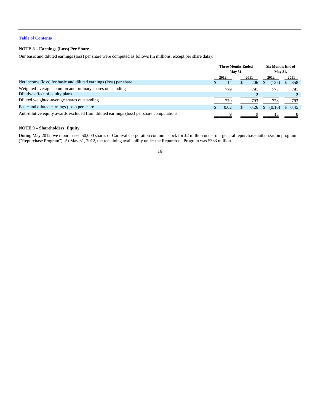## **NOTE 8 – Earnings (Loss) Per Share**

Our basic and diluted earnings (loss) per share were computed as follows (in millions, except per share data):

|                                                                                          | <b>Three Months Ended</b> |                |  |      | <b>Six Months Ended</b> |        |      |      |
|------------------------------------------------------------------------------------------|---------------------------|----------------|--|------|-------------------------|--------|------|------|
|                                                                                          |                           | <b>May 31,</b> |  |      | <b>May 31,</b>          |        |      |      |
|                                                                                          |                           | 2012<br>2011   |  |      | 2012                    |        | 2011 |      |
| Net income (loss) for basic and diluted earnings (loss) per share                        |                           | 14             |  | 206  |                         | (125)  |      | 358  |
| Weighted-average common and ordinary shares outstanding                                  |                           | 779            |  | 791  |                         | 778    |      | 791  |
| Dilutive effect of equity plans                                                          |                           |                |  |      |                         |        |      |      |
| Diluted weighted-average shares outstanding                                              |                           | 779            |  | 793  |                         | 778    |      | 793  |
| Basic and diluted earnings (loss) per share                                              |                           | 0.02           |  | 0.26 |                         | (0.16) |      | 0.45 |
| Anti-dilutive equity awards excluded from diluted earnings (loss) per share computations |                           |                |  |      |                         |        |      |      |

## **NOTE 9 – Shareholders' Equity**

During May 2012, we repurchased 50,000 shares of Carnival Corporation common stock for \$2 million under our general repurchase authorization program ("Repurchase Program"). At May 31, 2012, the remaining availability under the Repurchase Program was \$333 million.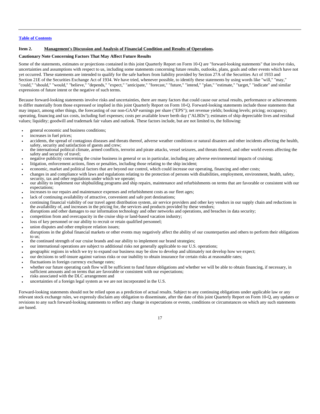## <span id="page-18-0"></span>**Item 2. Management's Discussion and Analysis of Financial Condition and Results of Operations.**

## **Cautionary Note Concerning Factors That May Affect Future Results**

Some of the statements, estimates or projections contained in this joint Quarterly Report on Form 10-Q are "forward-looking statements" that involve risks, uncertainties and assumptions with respect to us, including some statements concerning future results, outlooks, plans, goals and other events which have not yet occurred. These statements are intended to qualify for the safe harbors from liability provided by Section 27A of the Securities Act of 1933 and Section 21E of the Securities Exchange Act of 1934. We have tried, whenever possible, to identify these statements by using words like "will," "may," "could," "should," "would," "believe," "depends," "expect," "anticipate," "forecast," "future," "intend," "plan," "estimate," "target," "indicate" and similar expressions of future intent or the negative of such terms.

Because forward-looking statements involve risks and uncertainties, there are many factors that could cause our actual results, performance or achievements to differ materially from those expressed or implied in this joint Quarterly Report on Form 10-Q. Forward-looking statements include those statements that may impact, among other things, the forecasting of our non-GAAP earnings per share ("EPS"); net revenue yields; booking levels; pricing; occupancy; operating, financing and tax costs, including fuel expenses; costs per available lower berth day ("ALBDs"); estimates of ship depreciable lives and residual values; liquidity; goodwill and trademark fair values and outlook. These factors include, but are not limited to, the following:

- general economic and business conditions;
- increases in fuel prices;
- accidents, the spread of contagious diseases and threats thereof, adverse weather conditions or natural disasters and other incidents affecting the health, safety, security and satisfaction of guests and crew;
- the international political climate, armed conflicts, terrorist and pirate attacks, vessel seizures, and threats thereof, and other world events affecting the safety and security of travel;
- negative publicity concerning the cruise business in general or us in particular, including any adverse environmental impacts of cruising;
- litigation, enforcement actions, fines or penalties, including those relating to the ship incident;
- economic, market and political factors that are beyond our control, which could increase our operating, financing and other costs;
- changes in and compliance with laws and regulations relating to the protection of persons with disabilities, employment, environment, health, safety, security, tax and other regulations under which we operate;
- our ability to implement our shipbuilding programs and ship repairs, maintenance and refurbishments on terms that are favorable or consistent with our expectations;
- increases to our repairs and maintenance expenses and refurbishment costs as our fleet ages;
- lack of continuing availability of attractive, convenient and safe port destinations;
- continuing financial viability of our travel agent distribution system, air service providers and other key vendors in our supply chain and reductions in the availability of, and increases in the pricing for, the services and products provided by these vendors;
- disruptions and other damages to our information technology and other networks and operations, and breaches in data security;
- competition from and overcapacity in the cruise ship or land-based vacation industry;
- loss of key personnel or our ability to recruit or retain qualified personnel;
- union disputes and other employee relation issues;
- disruptions in the global financial markets or other events may negatively affect the ability of our counterparties and others to perform their obligations to us;
- the continued strength of our cruise brands and our ability to implement our brand strategies;
- our international operations are subject to additional risks not generally applicable to our U.S. operations;
- geographic regions in which we try to expand our business may be slow to develop and ultimately not develop how we expect;
- our decisions to self-insure against various risks or our inability to obtain insurance for certain risks at reasonable rates;
- fluctuations in foreign currency exchange rates;
- whether our future operating cash flow will be sufficient to fund future obligations and whether we will be able to obtain financing, if necessary, in sufficient amounts and on terms that are favorable or consistent with our expectations;
- risks associated with the DLC arrangement and
- uncertainties of a foreign legal system as we are not incorporated in the U.S.

Forward-looking statements should not be relied upon as a prediction of actual results. Subject to any continuing obligations under applicable law or any relevant stock exchange rules, we expressly disclaim any obligation to disseminate, after the date of this joint Quarterly Report on Form 10-Q, any updates or revisions to any such forward-looking statements to reflect any change in expectations or events, conditions or circumstances on which any such statements are based.

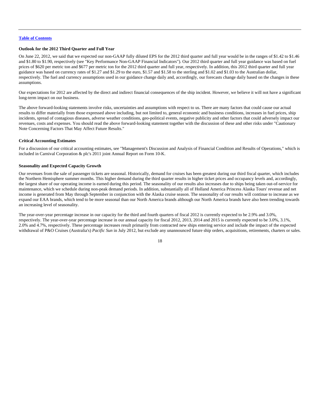## **Outlook for the 2012 Third Quarter and Full Year**

On June 22, 2012, we said that we expected our non-GAAP fully diluted EPS for the 2012 third quarter and full year would be in the ranges of \$1.42 to \$1.46 and \$1.80 to \$1.90, respectively (see "Key Performance Non-GAAP Financial Indicators"). Our 2012 third quarter and full year guidance was based on fuel prices of \$620 per metric ton and \$677 per metric ton for the 2012 third quarter and full year, respectively. In addition, this 2012 third quarter and full year guidance was based on currency rates of \$1.27 and \$1.29 to the euro, \$1.57 and \$1.58 to the sterling and \$1.02 and \$1.03 to the Australian dollar, respectively. The fuel and currency assumptions used in our guidance change daily and, accordingly, our forecasts change daily based on the changes in these assumptions.

Our expectations for 2012 are affected by the direct and indirect financial consequences of the ship incident. However, we believe it will not have a significant long-term impact on our business.

The above forward-looking statements involve risks, uncertainties and assumptions with respect to us. There are many factors that could cause our actual results to differ materially from those expressed above including, but not limited to, general economic and business conditions, increases in fuel prices, ship incidents, spread of contagious diseases, adverse weather conditions, geo-political events, negative publicity and other factors that could adversely impact our revenues, costs and expenses. You should read the above forward-looking statement together with the discussion of these and other risks under "Cautionary Note Concerning Factors That May Affect Future Results."

#### **Critical Accounting Estimates**

For a discussion of our critical accounting estimates, see "Management's Discussion and Analysis of Financial Condition and Results of Operations," which is included in Carnival Corporation & plc's 2011 joint Annual Report on Form 10-K.

#### **Seasonality and Expected Capacity Growth**

Our revenues from the sale of passenger tickets are seasonal. Historically, demand for cruises has been greatest during our third fiscal quarter, which includes the Northern Hemisphere summer months. This higher demand during the third quarter results in higher ticket prices and occupancy levels and, accordingly, the largest share of our operating income is earned during this period. The seasonality of our results also increases due to ships being taken out-of-service for maintenance, which we schedule during non-peak demand periods. In addition, substantially all of Holland America Princess Alaska Tours' revenue and net income is generated from May through September in conjunction with the Alaska cruise season. The seasonality of our results will continue to increase as we expand our EAA brands, which tend to be more seasonal than our North America brands although our North America brands have also been trending towards an increasing level of seasonality.

The year-over-year percentage increase in our capacity for the third and fourth quarters of fiscal 2012 is currently expected to be 2.9% and 3.0%, respectively. The year-over-year percentage increase in our annual capacity for fiscal 2012, 2013, 2014 and 2015 is currently expected to be 3.0%, 3.1%, 2.0% and 4.7%, respectively. These percentage increases result primarily from contracted new ships entering service and include the impact of the expected withdrawal of P&O Cruises (Australia's) *Pacific Sun* in July 2012, but exclude any unannounced future ship orders, acquisitions, retirements, charters or sales.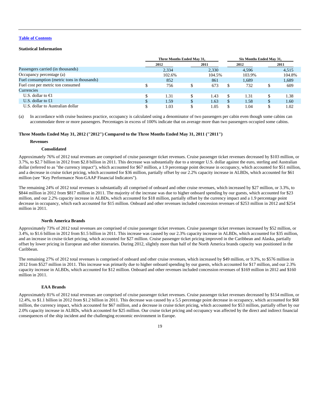## **Statistical Information**

|                                             | Three Months Ended May 31, |  |        | Six Months Ended May 31, |  |        |  |
|---------------------------------------------|----------------------------|--|--------|--------------------------|--|--------|--|
|                                             | 2012                       |  | 2011   | 2012                     |  | 2011   |  |
| Passengers carried (in thousands)           | 2.334                      |  | 2.330  | 4.596                    |  | 4,515  |  |
| Occupancy percentage (a)                    | 102.6%                     |  | 104.5% | 103.9%                   |  | 104.8% |  |
| Fuel consumption (metric tons in thousands) | 852                        |  | 861    | 1,689                    |  | 1,689  |  |
| Fuel cost per metric ton consumed           | 756                        |  | 673    | 732                      |  | 609    |  |
| Currencies                                  |                            |  |        |                          |  |        |  |
| U.S. dollar to $\bigoplus$                  | 1.31                       |  | 1.43   | 1.31                     |  | 1.38   |  |
| U.S. dollar to $£1$                         | 1.59                       |  | 1.63   | 1.58                     |  | 1.60   |  |
| U.S. dollar to Australian dollar            | 1.03                       |  | 1.05   | 1.04                     |  | 1.02   |  |

(a) In accordance with cruise business practice, occupancy is calculated using a denominator of two passengers per cabin even though some cabins can accommodate three or more passengers. Percentages in excess of 100% indicate that on average more than two passengers occupied some cabins.

#### **Three Months Ended May 31, 2012 ("2012") Compared to the Three Months Ended May 31, 2011 ("2011")**

#### **Revenues**

#### **Consolidated**

Approximately 76% of 2012 total revenues are comprised of cruise passenger ticket revenues. Cruise passenger ticket revenues decreased by \$103 million, or 3.7%, to \$2.7 billion in 2012 from \$2.8 billion in 2011. This decrease was substantially due to a stronger U.S. dollar against the euro, sterling and Australian dollar (referred to as "the currency impact"), which accounted for \$67 million, a 1.9 percentage point decrease in occupancy, which accounted for \$51 million, and a decrease in cruise ticket pricing, which accounted for \$36 million, partially offset by our 2.2% capacity increase in ALBDs, which accounted for \$61 million (see "Key Performance Non-GAAP Financial Indicators").

The remaining 24% of 2012 total revenues is substantially all comprised of onboard and other cruise revenues, which increased by \$27 million, or 3.3%, to \$844 million in 2012 from \$817 million in 2011. The majority of the increase was due to higher onboard spending by our guests, which accounted for \$23 million, and our 2.2% capacity increase in ALBDs, which accounted for \$18 million, partially offset by the currency impact and a 1.9 percentage point decrease in occupancy, which each accounted for \$15 million. Onboard and other revenues included concession revenues of \$253 million in 2012 and \$254 million in 2011.

## **North America Brands**

Approximately 73% of 2012 total revenues are comprised of cruise passenger ticket revenues. Cruise passenger ticket revenues increased by \$52 million, or 3.4%, to \$1.6 billion in 2012 from \$1.5 billion in 2011. This increase was caused by our 2.3% capacity increase in ALBDs, which accounted for \$35 million, and an increase in cruise ticket pricing, which accounted for \$27 million. Cruise passenger ticket pricing improved in the Caribbean and Alaska, partially offset by lower pricing in European and other itineraries. During 2012, slightly more than half of the North America brands capacity was positioned in the Caribbean.

The remaining 27% of 2012 total revenues is comprised of onboard and other cruise revenues, which increased by \$49 million, or 9.3%, to \$576 million in 2012 from \$527 million in 2011. This increase was primarily due to higher onboard spending by our guests, which accounted for \$17 million, and our 2.3% capacity increase in ALBDs, which accounted for \$12 million. Onboard and other revenues included concession revenues of \$169 million in 2012 and \$160 million in 2011.

### **EAA Brands**

Approximately 81% of 2012 total revenues are comprised of cruise passenger ticket revenues. Cruise passenger ticket revenues decreased by \$154 million, or 12.4%, to \$1.1 billion in 2012 from \$1.2 billion in 2011. This decrease was caused by a 5.5 percentage point decrease in occupancy, which accounted for \$68 million, the currency impact, which accounted for \$67 million, and a decrease in cruise ticket pricing, which accounted for \$53 million, partially offset by our 2.0% capacity increase in ALBDs, which accounted for \$25 million. Our cruise ticket pricing and occupancy was affected by the direct and indirect financial consequences of the ship incident and the challenging economic environment in Europe.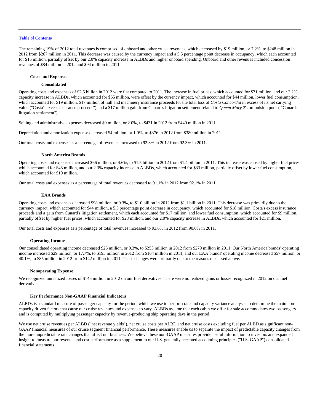The remaining 19% of 2012 total revenues is comprised of onboard and other cruise revenues, which decreased by \$19 million, or 7.2%, to \$248 million in 2012 from \$267 million in 2011. This decrease was caused by the currency impact and a 5.5 percentage point decrease in occupancy, which each accounted for \$15 million, partially offset by our 2.0% capacity increase in ALBDs and higher onboard spending. Onboard and other revenues included concession revenues of \$84 million in 2012 and \$94 million in 2011.

#### **Costs and Expenses**

#### **Consolidated**

Operating costs and expenses of \$2.5 billion in 2012 were flat compared to 2011. The increase in fuel prices, which accounted for \$71 million, and our 2.2% capacity increase in ALBDs, which accounted for \$55 million, were offset by the currency impact, which accounted for \$44 million, lower fuel consumption, which accounted for \$19 million, \$17 million of hull and machinery insurance proceeds for the total loss of *Costa Concordia* in excess of its net carrying value ("Costa's excess insurance proceeds") and a \$17 million gain from Cunard's litigation settlement related to *Queen Mary 2*'s propulsion pods ( "Cunard's litigation settlement").

Selling and administrative expenses decreased \$9 million, or 2.0%, to \$431 in 2012 from \$440 million in 2011.

Depreciation and amortization expense decreased \$4 million, or 1.0%, to \$376 in 2012 from \$380 million in 2011.

Our total costs and expenses as a percentage of revenues increased to 92.8% in 2012 from 92.3% in 2011.

#### **North America Brands**

Operating costs and expenses increased \$66 million, or 4.6%, to \$1.5 billion in 2012 from \$1.4 billion in 2011. This increase was caused by higher fuel prices, which accounted for \$48 million, and our 2.3% capacity increase in ALBDs, which accounted for \$33 million, partially offset by lower fuel consumption, which accounted for \$10 million.

Our total costs and expenses as a percentage of total revenues decreased to 91.1% in 2012 from 92.1% in 2011.

#### **EAA Brands**

Operating costs and expenses decreased \$98 million, or 9.3%, to \$1.0 billion in 2012 from \$1.1 billion in 2011. This decrease was primarily due to the currency impact, which accounted for \$44 million, a 5.5 percentage point decrease in occupancy, which accounted for \$18 million, Costa's excess insurance proceeds and a gain from Cunard's litigation settlement, which each accounted for \$17 million, and lower fuel consumption, which accounted for \$9 million, partially offset by higher fuel prices, which accounted for \$23 million, and our 2.0% capacity increase in ALBDs, which accounted for \$21 million.

Our total costs and expenses as a percentage of total revenues increased to 93.6% in 2012 from 90.6% in 2011.

#### **Operating Income**

Our consolidated operating income decreased \$26 million, or 9.3%, to \$253 million in 2012 from \$279 million in 2011. Our North America brands' operating income increased \$29 million, or 17.7%, to \$193 million in 2012 from \$164 million in 2011, and our EAA brands' operating income decreased \$57 million, or 40.1%, to \$85 million in 2012 from \$142 million in 2011. These changes were primarily due to the reasons discussed above.

#### **Nonoperating Expense**

We recognized unrealized losses of \$145 million in 2012 on our fuel derivatives. There were no realized gains or losses recognized in 2012 on our fuel derivatives.

## **Key Performance Non-GAAP Financial Indicators**

ALBDs is a standard measure of passenger capacity for the period, which we use to perform rate and capacity variance analyses to determine the main noncapacity driven factors that cause our cruise revenues and expenses to vary. ALBDs assume that each cabin we offer for sale accommodates two passengers and is computed by multiplying passenger capacity by revenue-producing ship operating days in the period.

We use net cruise revenues per ALBD ("net revenue yields"), net cruise costs per ALBD and net cruise costs excluding fuel per ALBD as significant non-GAAP financial measures of our cruise segment financial performance. These measures enable us to separate the impact of predictable capacity changes from the more unpredictable rate changes that affect our business. We believe these non-GAAP measures provide useful information to investors and expanded insight to measure our revenue and cost performance as a supplement to our U.S. generally accepted accounting principles ("U.S. GAAP") consolidated financial statements.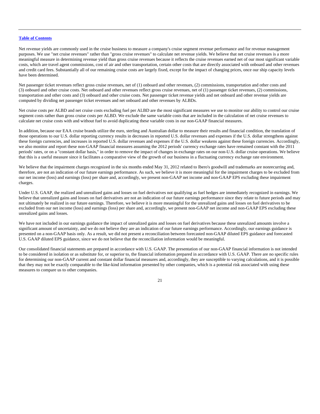Net revenue yields are commonly used in the cruise business to measure a company's cruise segment revenue performance and for revenue management purposes. We use "net cruise revenues" rather than "gross cruise revenues" to calculate net revenue yields. We believe that net cruise revenues is a more meaningful measure in determining revenue yield than gross cruise revenues because it reflects the cruise revenues earned net of our most significant variable costs, which are travel agent commissions, cost of air and other transportation, certain other costs that are directly associated with onboard and other revenues and credit card fees. Substantially all of our remaining cruise costs are largely fixed, except for the impact of changing prices, once our ship capacity levels have been determined.

Net passenger ticket revenues reflect gross cruise revenues, net of (1) onboard and other revenues, (2) commissions, transportation and other costs and (3) onboard and other cruise costs. Net onboard and other revenues reflect gross cruise revenues, net of (1) passenger ticket revenues, (2) commissions, transportation and other costs and (3) onboard and other cruise costs. Net passenger ticket revenue yields and net onboard and other revenue yields are computed by dividing net passenger ticket revenues and net onboard and other revenues by ALBDs.

Net cruise costs per ALBD and net cruise costs excluding fuel per ALBD are the most significant measures we use to monitor our ability to control our cruise segment costs rather than gross cruise costs per ALBD. We exclude the same variable costs that are included in the calculation of net cruise revenues to calculate net cruise costs with and without fuel to avoid duplicating these variable costs in our non-GAAP financial measures.

In addition, because our EAA cruise brands utilize the euro, sterling and Australian dollar to measure their results and financial condition, the translation of those operations to our U.S. dollar reporting currency results in decreases in reported U.S. dollar revenues and expenses if the U.S. dollar strengthens against these foreign currencies, and increases in reported U.S. dollar revenues and expenses if the U.S. dollar weakens against these foreign currencies. Accordingly, we also monitor and report these non-GAAP financial measures assuming the 2012 periods' currency exchange rates have remained constant with the 2011 periods' rates, or on a "constant dollar basis," in order to remove the impact of changes in exchange rates on our non-U.S. dollar cruise operations. We believe that this is a useful measure since it facilitates a comparative view of the growth of our business in a fluctuating currency exchange rate environment.

We believe that the impairment charges recognized in the six months ended May 31, 2012 related to Ibero's goodwill and trademarks are nonrecurring and, therefore, are not an indication of our future earnings performance. As such, we believe it is more meaningful for the impairment charges to be excluded from our net income (loss) and earnings (loss) per share and, accordingly, we present non-GAAP net income and non-GAAP EPS excluding these impairment charges.

Under U.S. GAAP, the realized and unrealized gains and losses on fuel derivatives not qualifying as fuel hedges are immediately recognized in earnings. We believe that unrealized gains and losses on fuel derivatives are not an indication of our future earnings performance since they relate to future periods and may not ultimately be realized in our future earnings. Therefore, we believe it is more meaningful for the unrealized gains and losses on fuel derivatives to be excluded from our net income (loss) and earnings (loss) per share and, accordingly, we present non-GAAP net income and non-GAAP EPS excluding these unrealized gains and losses.

We have not included in our earnings guidance the impact of unrealized gains and losses on fuel derivatives because these unrealized amounts involve a significant amount of uncertainty, and we do not believe they are an indication of our future earnings performance. Accordingly, our earnings guidance is presented on a non-GAAP basis only. As a result, we did not present a reconciliation between forecasted non-GAAP diluted EPS guidance and forecasted U.S. GAAP diluted EPS guidance, since we do not believe that the reconciliation information would be meaningful.

Our consolidated financial statements are prepared in accordance with U.S. GAAP. The presentation of our non-GAAP financial information is not intended to be considered in isolation or as substitute for, or superior to, the financial information prepared in accordance with U.S. GAAP. There are no specific rules for determining our non-GAAP current and constant dollar financial measures and, accordingly, they are susceptible to varying calculations, and it is possible that they may not be exactly comparable to the like-kind information presented by other companies, which is a potential risk associated with using these measures to compare us to other companies.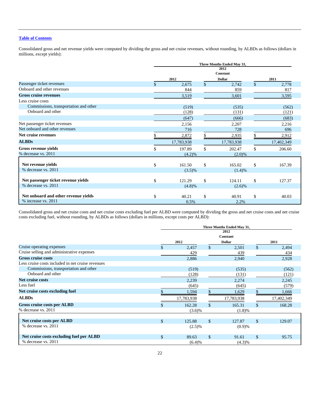Consolidated gross and net revenue yields were computed by dividing the gross and net cruise revenues, without rounding, by ALBDs as follows (dollars in millions, except yields):

|                                                             |              | Three Months Ended May 31,<br>2012 |              |                 |               |            |  |  |  |
|-------------------------------------------------------------|--------------|------------------------------------|--------------|-----------------|---------------|------------|--|--|--|
|                                                             |              |                                    |              | <b>Constant</b> |               |            |  |  |  |
|                                                             |              | 2012                               |              | <b>Dollar</b>   |               | 2011       |  |  |  |
| Passenger ticket revenues                                   | $\mathbf{s}$ | 2,675                              | $\mathbb{S}$ | 2,742           | $\mathcal{S}$ | 2,778      |  |  |  |
| Onboard and other revenues                                  |              | 844                                |              | 859             |               | 817        |  |  |  |
| <b>Gross cruise revenues</b>                                |              | 3,519                              |              | 3,601           |               | 3,595      |  |  |  |
| Less cruise costs                                           |              |                                    |              |                 |               |            |  |  |  |
| Commissions, transportation and other                       |              | (519)                              |              | (535)           |               | (562)      |  |  |  |
| Onboard and other                                           |              | (128)                              |              | (131)           |               | (121)      |  |  |  |
|                                                             |              | (647)                              |              | (666)           |               | (683)      |  |  |  |
| Net passenger ticket revenues                               |              | 2,156                              |              | 2,207           |               | 2,216      |  |  |  |
| Net onboard and other revenues                              |              | 716                                |              | 728             |               | 696        |  |  |  |
| Net cruise revenues                                         |              | 2,872                              | \$           | 2,935           | \$            | 2,912      |  |  |  |
| <b>ALBDs</b>                                                |              | 17,783,938                         |              | 17,783,938      |               | 17,402,349 |  |  |  |
| Gross revenue yields                                        | \$           | 197.89                             | \$           | 202.47          | \$            | 206.60     |  |  |  |
| % decrease vs. 2011                                         |              | $(4.2)\%$                          |              | (2.0)%          |               |            |  |  |  |
|                                                             |              |                                    |              |                 |               |            |  |  |  |
| Net revenue yields                                          | \$           | 161.50                             | \$           | 165.02          | \$            | 167.39     |  |  |  |
| % decrease vs. 2011                                         |              | $(3.5)\%$                          |              | (1.4)%          |               |            |  |  |  |
|                                                             |              |                                    |              |                 |               |            |  |  |  |
| Net passenger ticket revenue yields                         | \$           | 121.29                             | \$           | 124.11          | \$            | 127.37     |  |  |  |
| % decrease vs. 2011                                         |              | (4.8)%                             |              | $(2.6)\%$       |               |            |  |  |  |
|                                                             |              |                                    |              |                 |               |            |  |  |  |
| Net onboard and other revenue yields<br>% increase vs. 2011 | \$           | 40.21                              | \$           | 40.91           | \$            | 40.03      |  |  |  |
|                                                             |              | 0.5%                               |              | 2.2%            |               |            |  |  |  |

Consolidated gross and net cruise costs and net cruise costs excluding fuel per ALBD were computed by dividing the gross and net cruise costs and net cruise costs excluding fuel, without rounding, by ALBDs as follows (dollars in millions, except costs per ALBD):

|                                                   |               |            |               | Three Months Ended May 31, |               |            |  |  |
|---------------------------------------------------|---------------|------------|---------------|----------------------------|---------------|------------|--|--|
|                                                   |               |            |               | 2012                       |               |            |  |  |
|                                                   |               |            |               | <b>Constant</b>            |               |            |  |  |
|                                                   |               | 2012       | <b>Dollar</b> |                            |               | 2011       |  |  |
| Cruise operating expenses                         | $\mathbb{S}$  | 2,457      | \$            | 2,501                      | \$            | 2,494      |  |  |
| Cruise selling and administrative expenses        |               | 429        |               | 439                        |               | 434        |  |  |
| <b>Gross cruise costs</b>                         |               | 2,886      |               | 2,940                      |               | 2,928      |  |  |
| Less cruise costs included in net cruise revenues |               |            |               |                            |               |            |  |  |
| Commissions, transportation and other             |               | (519)      |               | (535)                      |               | (562)      |  |  |
| Onboard and other                                 |               | (128)      |               | (131)                      |               | (121)      |  |  |
| <b>Net cruise costs</b>                           |               | 2,239      | 2,274         |                            |               | 2,245      |  |  |
| Less fuel                                         |               | (645)      |               | (645)                      |               | (579)      |  |  |
| Net cruise costs excluding fuel                   |               | 1,594      |               | 1,629                      |               | 1,666      |  |  |
| <b>ALBDs</b>                                      |               | 17,783,938 |               | 17,783,938                 |               | 17,402,349 |  |  |
| Gross cruise costs per ALBD                       | $\mathcal{S}$ | 162.28     | $\mathbf{s}$  | 165.31                     | $\mathcal{S}$ | 168.28     |  |  |
| % decrease vs. 2011                               |               | $(3.6)\%$  |               | $(1.8)\%$                  |               |            |  |  |
|                                                   |               |            |               |                            |               |            |  |  |
| Net cruise costs per ALBD                         | $\mathbb{S}$  | 125.88     | $\mathbb{S}$  | 127.87                     | $\mathbf{\$}$ | 129.07     |  |  |
| % decrease vs. 2011                               |               | $(2.5)\%$  |               | (0.9)%                     |               |            |  |  |
| Net cruise costs excluding fuel per ALBD          | \$            | 89.63      | \$            | 91.61                      | \$            | 95.75      |  |  |
| % decrease vs. 2011                               |               | (6.4)%     |               | $(4.3)\%$                  |               |            |  |  |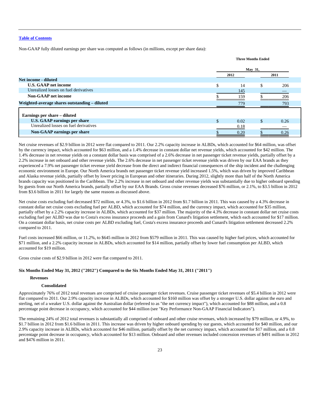Non-GAAP fully diluted earnings per share was computed as follows (in millions, except per share data):

|                                               |                    | <b>Three Months Ended</b><br>May 31,<br>2012<br>2011<br>\$.<br>206<br>S<br>14<br>145<br>206<br>159<br>793<br>779 |    |      |  |  |  |
|-----------------------------------------------|--------------------|------------------------------------------------------------------------------------------------------------------|----|------|--|--|--|
|                                               |                    |                                                                                                                  |    |      |  |  |  |
|                                               |                    |                                                                                                                  |    |      |  |  |  |
| Net income - diluted                          |                    |                                                                                                                  |    |      |  |  |  |
| <b>U.S. GAAP net income</b>                   |                    |                                                                                                                  |    |      |  |  |  |
| Unrealized losses on fuel derivatives         |                    |                                                                                                                  |    |      |  |  |  |
| <b>Non-GAAP</b> net income                    |                    |                                                                                                                  |    |      |  |  |  |
| Weighted-average shares outstanding - diluted |                    |                                                                                                                  |    |      |  |  |  |
| Earnings per share – diluted                  |                    |                                                                                                                  |    |      |  |  |  |
| <b>U.S. GAAP earnings per share</b>           | $\mathbf{\hat{s}}$ | 0.02                                                                                                             | \$ | 0.26 |  |  |  |
| Unrealized losses on fuel derivatives         |                    | 0.18                                                                                                             |    |      |  |  |  |
| Non-GAAP earnings per share                   |                    | 0.20                                                                                                             |    | 0.26 |  |  |  |

Net cruise revenues of \$2.9 billion in 2012 were flat compared to 2011. Our 2.2% capacity increase in ALBDs, which accounted for \$64 million, was offset by the currency impact, which accounted for \$63 million, and a 1.4% decrease in constant dollar net revenue yields, which accounted for \$42 million. The 1.4% decrease in net revenue yields on a constant dollar basis was comprised of a 2.6% decrease in net passenger ticket revenue yields, partially offset by a 2.2% increase in net onboard and other revenue yields. The 2.6% decrease in net passenger ticket revenue yields was driven by our EAA brands as they experienced a 7.9% net passenger ticket revenue yield decrease from the direct and indirect financial consequences of the ship incident and the challenging economic environment in Europe. Our North America brands net passenger ticket revenue yield increased 1.5%, which was driven by improved Caribbean and Alaska revenue yields, partially offset by lower pricing in European and other itineraries. During 2012, slightly more than half of the North America brands capacity was positioned in the Caribbean. The 2.2% increase in net onboard and other revenue yields was substantially due to higher onboard spending by guests from our North America brands, partially offset by our EAA Brands. Gross cruise revenues decreased \$76 million, or 2.1%, to \$3.5 billion in 2012 from \$3.6 billion in 2011 for largely the same reasons as discussed above.

Net cruise costs excluding fuel decreased \$72 million, or 4.3%, to \$1.6 billion in 2012 from \$1.7 billion in 2011. This was caused by a 4.3% decrease in constant dollar net cruise costs excluding fuel per ALBD, which accounted for \$74 million, and the currency impact, which accounted for \$35 million, partially offset by a 2.2% capacity increase in ALBDs, which accounted for \$37 million. The majority of the 4.3% decrease in constant dollar net cruise costs excluding fuel per ALBD was due to Costa's excess insurance proceeds and a gain from Cunard's litigation settlement, which each accounted for \$17 million. On a constant dollar basis, net cruise costs per ALBD excluding fuel, Costa's excess insurance proceeds and Cunard's litigation settlement decreased 2.2% compared to 2011.

Fuel costs increased \$66 million, or 11.2%, to \$645 million in 2012 from \$579 million in 2011. This was caused by higher fuel prices, which accounted for \$71 million, and a 2.2% capacity increase in ALBDs, which accounted for \$14 million, partially offset by lower fuel consumption per ALBD, which accounted for \$19 million.

Gross cruise costs of \$2.9 billion in 2012 were flat compared to 2011.

## **Six Months Ended May 31, 2012 ("2012") Compared to the Six Months Ended May 31, 2011 ("2011")**

## **Revenues**

## **Consolidated**

Approximately 76% of 2012 total revenues are comprised of cruise passenger ticket revenues. Cruise passenger ticket revenues of \$5.4 billion in 2012 were flat compared to 2011. Our 2.9% capacity increase in ALBDs, which accounted for \$160 million was offset by a stronger U.S. dollar against the euro and sterling, net of a weaker U.S. dollar against the Australian dollar (referred to as "the net currency impact"), which accounted for \$88 million, and a 0.8 percentage point decrease in occupancy, which accounted for \$44 million (see "Key Performance Non-GAAP Financial Indicators").

The remaining 24% of 2012 total revenues is substantially all comprised of onboard and other cruise revenues, which increased by \$79 million, or 4.9%, to \$1.7 billion in 2012 from \$1.6 billion in 2011. This increase was driven by higher onboard spending by our guests, which accounted for \$40 million, and our 2.9% capacity increase in ALBDs, which accounted for \$46 million, partially offset by the net currency impact, which accounted for \$17 million, and a 0.8 percentage point decrease in occupancy, which accounted for \$13 million. Onboard and other revenues included concession revenues of \$491 million in 2012 and \$476 million in 2011.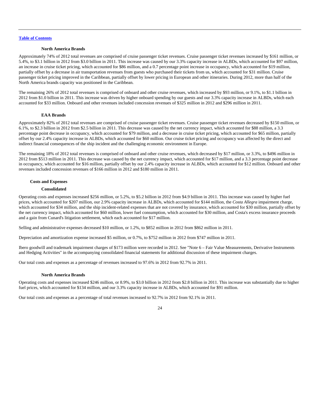## **North America Brands**

Approximately 74% of 2012 total revenues are comprised of cruise passenger ticket revenues. Cruise passenger ticket revenues increased by \$161 million, or 5.4%, to \$3.1 billion in 2012 from \$3.0 billion in 2011. This increase was caused by our 3.3% capacity increase in ALBDs, which accounted for \$97 million, an increase in cruise ticket pricing, which accounted for \$86 million, and a 0.7 percentage point increase in occupancy, which accounted for \$19 million, partially offset by a decrease in air transportation revenues from guests who purchased their tickets from us, which accounted for \$31 million. Cruise passenger ticket pricing improved in the Caribbean, partially offset by lower pricing in European and other itineraries. During 2012, more than half of the North America brands capacity was positioned in the Caribbean.

The remaining 26% of 2012 total revenues is comprised of onboard and other cruise revenues, which increased by \$93 million, or 9.1%, to \$1.1 billion in 2012 from \$1.0 billion in 2011. This increase was driven by higher onboard spending by our guests and our 3.3% capacity increase in ALBDs, which each accounted for \$33 million. Onboard and other revenues included concession revenues of \$325 million in 2012 and \$296 million in 2011.

## **EAA Brands**

Approximately 82% of 2012 total revenues are comprised of cruise passenger ticket revenues. Cruise passenger ticket revenues decreased by \$150 million, or 6.1%, to \$2.3 billion in 2012 from \$2.5 billion in 2011. This decrease was caused by the net currency impact, which accounted for \$88 million, a 3.3 percentage point decrease in occupancy, which accounted for \$79 million, and a decrease in cruise ticket pricing, which accounted for \$65 million, partially offset by our 2.4% capacity increase in ALBDs, which accounted for \$60 million. Our cruise ticket pricing and occupancy was affected by the direct and indirect financial consequences of the ship incident and the challenging economic environment in Europe.

The remaining 18% of 2012 total revenues is comprised of onboard and other cruise revenues, which decreased by \$17 million, or 3.3%, to \$496 million in 2012 from \$513 million in 2011. This decrease was caused by the net currency impact, which accounted for \$17 million, and a 3.3 percentage point decrease in occupancy, which accounted for \$16 million, partially offset by our 2.4% capacity increase in ALBDs, which accounted for \$12 million. Onboard and other revenues included concession revenues of \$166 million in 2012 and \$180 million in 2011.

#### **Costs and Expenses**

#### **Consolidated**

Operating costs and expenses increased \$256 million, or 5.2%, to \$5.2 billion in 2012 from \$4.9 billion in 2011. This increase was caused by higher fuel prices, which accounted for \$207 million, our 2.9% capacity increase in ALBDs, which accounted for \$144 million, the *Costa Allegra* impairment charge, which accounted for \$34 million, and the ship incident-related expenses that are not covered by insurance, which accounted for \$30 million, partially offset by the net currency impact, which accounted for \$60 million, lower fuel consumption, which accounted for \$30 million, and Costa's excess insurance proceeds and a gain from Cunard's litigation settlement, which each accounted for \$17 million.

Selling and administrative expenses decreased \$10 million, or 1.2%, to \$852 million in 2012 from \$862 million in 2011.

Depreciation and amortization expense increased \$5 million, or 0.7%, to \$752 million in 2012 from \$747 million in 2011.

Ibero goodwill and trademark impairment charges of \$173 million were recorded in 2012. See "Note 6 – Fair Value Measurements, Derivative Instruments and Hedging Activities" in the accompanying consolidated financial statements for additional discussion of these impairment charges.

Our total costs and expenses as a percentage of revenues increased to 97.6% in 2012 from 92.7% in 2011.

#### **North America Brands**

Operating costs and expenses increased \$246 million, or 8.9%, to \$3.0 billion in 2012 from \$2.8 billion in 2011. This increase was substantially due to higher fuel prices, which accounted for \$134 million, and our 3.3% capacity increase in ALBDs, which accounted for \$91 million.

Our total costs and expenses as a percentage of total revenues increased to 92.7% in 2012 from 92.1% in 2011.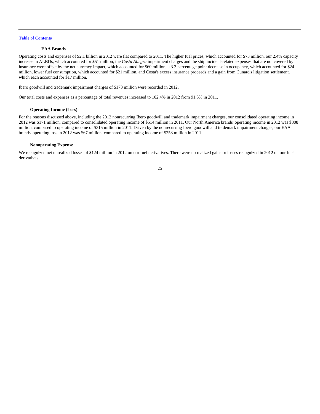## **EAA Brands**

Operating costs and expenses of \$2.1 billion in 2012 were flat compared to 2011. The higher fuel prices, which accounted for \$73 million, our 2.4% capacity increase in ALBDs, which accounted for \$51 million, the *Costa Allegra* impairment charges and the ship incident-related expenses that are not covered by insurance were offset by the net currency impact, which accounted for \$60 million, a 3.3 percentage point decrease in occupancy, which accounted for \$24 million, lower fuel consumption, which accounted for \$21 million, and Costa's excess insurance proceeds and a gain from Cunard's litigation settlement, which each accounted for \$17 million.

Ibero goodwill and trademark impairment charges of \$173 million were recorded in 2012.

Our total costs and expenses as a percentage of total revenues increased to 102.4% in 2012 from 91.5% in 2011.

#### **Operating Income (Loss)**

For the reasons discussed above, including the 2012 nonrecurring Ibero goodwill and trademark impairment charges, our consolidated operating income in 2012 was \$171 million, compared to consolidated operating income of \$514 million in 2011. Our North America brands' operating income in 2012 was \$308 million, compared to operating income of \$315 million in 2011. Driven by the nonrecurring Ibero goodwill and trademark impairment charges, our EAA brands' operating loss in 2012 was \$67 million, compared to operating income of \$253 million in 2011.

#### **Nonoperating Expense**

We recognized net unrealized losses of \$124 million in 2012 on our fuel derivatives. There were no realized gains or losses recognized in 2012 on our fuel derivatives.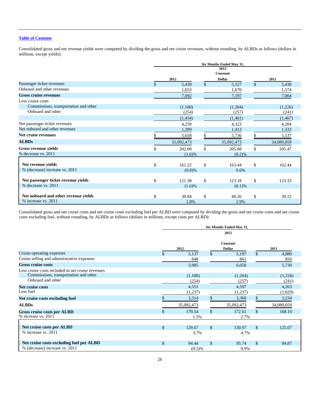Consolidated gross and net revenue yields were computed by dividing the gross and net cruise revenues, without rounding, by ALBDs as follows (dollars in millions, except yields):

|                                                             | Six Months Ended May 31,<br>2012<br><b>Constant</b> |    |            |               |            |  |  |  |
|-------------------------------------------------------------|-----------------------------------------------------|----|------------|---------------|------------|--|--|--|
|                                                             | <b>Dollar</b><br>2012                               |    |            | 2011          |            |  |  |  |
| Passenger ticket revenues                                   | \$<br>5,439                                         | \$ | 5,527      | $\mathcal{S}$ | 5,430      |  |  |  |
| Onboard and other revenues                                  | 1,653                                               |    | 1,670      |               | 1,574      |  |  |  |
| <b>Gross cruise revenues</b>                                | 7,092                                               |    | 7,197      |               | 7,004      |  |  |  |
| Less cruise costs                                           |                                                     |    |            |               |            |  |  |  |
| Commissions, transportation and other                       | (1,180)                                             |    | (1,204)    |               | (1,226)    |  |  |  |
| Onboard and other                                           | (254)                                               |    | (257)      |               | (241)      |  |  |  |
|                                                             | (1, 434)                                            |    | (1,461)    |               | (1, 467)   |  |  |  |
| Net passenger ticket revenues                               | 4,259                                               |    | 4,323      |               | 4,204      |  |  |  |
| Net onboard and other revenues                              | 1,399                                               |    | 1,413      |               | 1,333      |  |  |  |
| Net cruise revenues                                         | 5,658                                               | \$ | 5,736      | \$            | 5,537      |  |  |  |
| <b>ALBDs</b>                                                | 35,092,473                                          |    | 35,092,473 |               | 34,089,059 |  |  |  |
| Gross revenue yields                                        | \$<br>202.09                                        | \$ | 205.08     | \$            | 205.47     |  |  |  |
| % decrease vs. 2011                                         | (1.6)%                                              |    | (0.2)%     |               |            |  |  |  |
|                                                             |                                                     |    |            |               |            |  |  |  |
| Net revenue yields                                          | \$<br>161.22                                        | \$ | 163.44     | \$            | 162.44     |  |  |  |
| % (decrease) increase vs. 2011                              | (0.8)%                                              |    | 0.6%       |               |            |  |  |  |
| Net passenger ticket revenue yields                         | \$<br>121.38                                        | \$ | 123.18     | \$            | 123.33     |  |  |  |
| % decrease vs. 2011                                         | $(1.6)\%$                                           |    | $(0.1)$ %  |               |            |  |  |  |
| Net onboard and other revenue yields<br>% increase vs. 2011 | \$<br>39.84                                         | \$ | 40.26      | \$            | 39.12      |  |  |  |
|                                                             | 1.8%                                                |    | 2.9%       |               |            |  |  |  |

Consolidated gross and net cruise costs and net cruise costs excluding fuel per ALBD were computed by dividing the gross and net cruise costs and net cruise costs excluding fuel, without rounding, by ALBDs as follows (dollars in millions, except costs per ALBD):

|                                                   |                    | Six Months Ended May 31, |               |            |               |            |  |  |  |
|---------------------------------------------------|--------------------|--------------------------|---------------|------------|---------------|------------|--|--|--|
|                                                   |                    |                          |               | 2012       |               |            |  |  |  |
|                                                   |                    | Constant                 |               |            |               |            |  |  |  |
|                                                   |                    | 2012                     | <b>Dollar</b> |            |               | 2011       |  |  |  |
| Cruise operating expenses                         | \$                 | 5,137                    | $\mathcal{S}$ | 5,197      | $\mathcal{S}$ | 4,880      |  |  |  |
| Cruise selling and administrative expenses        |                    | 848                      |               | 861        |               | 850        |  |  |  |
| <b>Gross cruise costs</b>                         |                    | 5,985                    |               | 6,058      |               | 5,730      |  |  |  |
| Less cruise costs included in net cruise revenues |                    |                          |               |            |               |            |  |  |  |
| Commissions, transportation and other             |                    | (1,180)                  |               | (1,204)    |               | (1,226)    |  |  |  |
| Onboard and other                                 |                    | (254)                    |               | (257)      |               | (241)      |  |  |  |
| <b>Net cruise costs</b>                           |                    | 4,551                    |               | 4,597      |               | 4,263      |  |  |  |
| Less fuel                                         |                    | (1,237)                  |               | (1,237)    |               | (1,029)    |  |  |  |
| Net cruise costs excluding fuel                   |                    | 3,314                    | \$            | 3,360      | \$            | 3,234      |  |  |  |
| <b>ALBDs</b>                                      |                    | 35,092,473               |               | 35,092,473 |               | 34,089,059 |  |  |  |
| Gross cruise costs per ALBD                       | \$                 | 170.54                   | $\mathbb{S}$  | 172.61     | \$.           | 168.10     |  |  |  |
| % increase vs. 2011                               |                    | 1.5%                     |               | 2.7%       |               |            |  |  |  |
|                                                   |                    |                          |               |            |               |            |  |  |  |
| Net cruise costs per ALBD                         | $\mathbf{\hat{S}}$ | 129.67                   | \$.           | 130.97     | \$            | 125.07     |  |  |  |
| % increase vs. 2011                               |                    | 3.7%                     |               | 4.7%       |               |            |  |  |  |
| Net cruise costs excluding fuel per ALBD          | $\mathbb{S}$       | 94.44                    | \$            | 95.74      | \$            | 94.87      |  |  |  |
| % (decrease) increase vs. 2011                    |                    | (0.5)%                   |               | 0.9%       |               |            |  |  |  |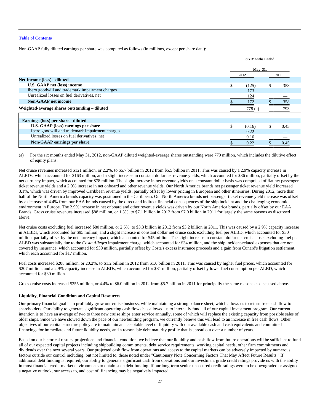Non-GAAP fully diluted earnings per share was computed as follows (in millions, except per share data):

|                                                 | <b>Six Months Ended</b> |        |               |      |  |
|-------------------------------------------------|-------------------------|--------|---------------|------|--|
|                                                 | May 31,                 |        |               |      |  |
|                                                 |                         | 2012   |               | 2011 |  |
| Net Income (loss) - diluted                     |                         |        |               |      |  |
| <b>U.S. GAAP net (loss) income</b>              | \$                      | (125)  | <sup>\$</sup> | 358  |  |
| Ibero goodwill and trademark impairment charges |                         | 173    |               |      |  |
| Unrealized losses on fuel derivatives, net      |                         | 124    |               |      |  |
| <b>Non-GAAP</b> net income                      |                         | 172    |               | 358  |  |
| Weighted-average shares outstanding – diluted   | 778(a)                  |        |               | 793  |  |
|                                                 |                         |        |               |      |  |
| Earnings (loss) per share - diluted             |                         |        |               |      |  |
| U.S. GAAP (loss) earnings per share             | \$                      | (0.16) | \$.           | 0.45 |  |
| Ibero goodwill and trademark impairment charges |                         | 0.22   |               |      |  |
| Unrealized losses on fuel derivatives, net      |                         | 0.16   |               |      |  |
| Non-GAAP earnings per share                     |                         | 0.22   |               | 0.45 |  |

## (a) For the six months ended May 31, 2012, non-GAAP diluted weighted-average shares outstanding were 779 million, which includes the dilutive effect of equity plans.

Net cruise revenues increased \$121 million, or 2.2%, to \$5.7 billion in 2012 from \$5.5 billion in 2011. This was caused by a 2.9% capacity increase in ALBDs, which accounted for \$163 million, and a slight increase in constant dollar net revenue yields, which accounted for \$36 million, partially offset by the net currency impact, which accounted for \$78 million. The slight increase in net revenue yields on a constant dollar basis was comprised of flat net passenger ticket revenue yields and a 2.9% increase in net onboard and other revenue yields. Our North America brands net passenger ticket revenue yield increased 3.1%, which was driven by improved Caribbean revenue yields, partially offset by lower pricing in European and other itineraries. During 2012, more than half of the North America brands capacity was positioned in the Caribbean. Our North America brands net passenger ticket revenue yield increase was offset by a decrease of 4.4% from our EAA brands caused by the direct and indirect financial consequences of the ship incident and the challenging economic environment in Europe. The 2.9% increase in net onboard and other revenue yields was driven by our North America brands, partially offset by our EAA Brands. Gross cruise revenues increased \$88 million, or 1.3%, to \$7.1 billion in 2012 from \$7.0 billion in 2011 for largely the same reasons as discussed above.

Net cruise costs excluding fuel increased \$80 million, or 2.5%, to \$3.3 billion in 2012 from \$3.2 billion in 2011. This was caused by a 2.9% capacity increase in ALBDs, which accounted for \$95 million, and a slight increase in constant dollar net cruise costs excluding fuel per ALBD, which accounted for \$30 million, partially offset by the net currency impact, which accounted for \$45 million. The slight increase in constant dollar net cruise costs excluding fuel per ALBD was substantially due to the *Costa Allegra* impairment charge*,* which accounted for \$34 million, and the ship incident-related expenses that are not covered by insurance, which accounted for \$30 million, partially offset by Costa's excess insurance proceeds and a gain from Cunard's litigation settlement, which each accounted for \$17 million*.*

Fuel costs increased \$208 million, or 20.2%, to \$1.2 billion in 2012 from \$1.0 billion in 2011. This was caused by higher fuel prices, which accounted for \$207 million, and a 2.9% capacity increase in ALBDs, which accounted for \$31 million, partially offset by lower fuel consumption per ALBD, which accounted for \$30 million.

Gross cruise costs increased \$255 million, or 4.4% to \$6.0 billion in 2012 from \$5.7 billion in 2011 for principally the same reasons as discussed above.

## **Liquidity, Financial Condition and Capital Resources**

Our primary financial goal is to profitably grow our cruise business, while maintaining a strong balance sheet, which allows us to return free cash flow to shareholders. Our ability to generate significant operating cash flows has allowed us to internally fund all of our capital investment program. Our current intention is to have an average of two to three new cruise ships enter service annually, some of which will replace the existing capacity from possible sales of older ships. Since we have slowed down the pace of our newbuilding program, we currently believe this will lead to an increase in free cash flows. Other objectives of our capital structure policy are to maintain an acceptable level of liquidity with our available cash and cash equivalents and committed financings for immediate and future liquidity needs, and a reasonable debt maturity profile that is spread out over a number of years.

Based on our historical results, projections and financial condition, we believe that our liquidity and cash flow from future operations will be sufficient to fund all of our expected capital projects including shipbuilding commitments, debt service requirements, working capital needs, other firm commitments and dividends over the next several years. Our projected cash flow from operations and access to the capital markets can be adversely impacted by numerous factors outside our control including, but not limited to, those noted under "Cautionary Note Concerning Factors That May Affect Future Results." If additional debt funding is required, our ability to generate significant cash from operations and our investment grade credit ratings provide us with the ability in most financial credit market environments to obtain such debt funding. If our long-term senior unsecured credit ratings were to be downgraded or assigned a negative outlook, our access to, and cost of, financing may be negatively impacted.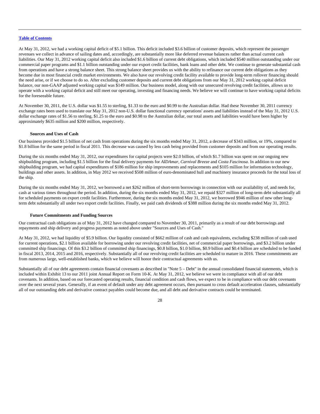At May 31, 2012, we had a working capital deficit of \$5.1 billion. This deficit included \$3.6 billion of customer deposits, which represent the passenger revenues we collect in advance of sailing dates and, accordingly, are substantially more like deferred revenue balances rather than actual current cash liabilities. Our May 31, 2012 working capital deficit also included \$1.6 billion of current debt obligations, which included \$540 million outstanding under our commercial paper programs and \$1.1 billion outstanding under our export credit facilities, bank loans and other debt. We continue to generate substantial cash from operations and have a strong balance sheet. This strong balance sheet provides us with the ability to refinance our current debt obligations as they become due in most financial credit market environments. We also have our revolving credit facility available to provide long-term rollover financing should the need arise, or if we choose to do so. After excluding customer deposits and current debt obligations from our May 31, 2012 working capital deficit balance, our non-GAAP adjusted working capital was \$149 million. Our business model, along with our unsecured revolving credit facilities, allows us to operate with a working capital deficit and still meet our operating, investing and financing needs. We believe we will continue to have working capital deficits for the foreseeable future.

At November 30, 2011, the U.S. dollar was \$1.55 to sterling, \$1.33 to the euro and \$0.99 to the Australian dollar. Had these November 30, 2011 currency exchange rates been used to translate our May 31, 2012 non-U.S. dollar functional currency operations' assets and liabilities instead of the May 31, 2012 U.S. dollar exchange rates of \$1.56 to sterling, \$1.25 to the euro and \$0.98 to the Australian dollar, our total assets and liabilities would have been higher by approximately \$635 million and \$200 million, respectively.

#### **Sources and Uses of Cash**

Our business provided \$1.5 billion of net cash from operations during the six months ended May 31, 2012, a decrease of \$343 million, or 19%, compared to \$1.8 billion for the same period in fiscal 2011. This decrease was caused by less cash being provided from customer deposits and from our operating results.

During the six months ended May 31, 2012, our expenditures for capital projects were \$2.0 billion, of which \$1.7 billion was spent on our ongoing new shipbuilding program, including \$1.5 billion for the final delivery payments for *AIDAmar, Carnival Breeze* and *Costa Fascinosa*. In addition to our new shipbuilding program, we had capital expenditures of \$186 million for ship improvements and replacements and \$105 million for information technology, buildings and other assets. In addition, in May 2012 we received \$508 million of euro-denominated hull and machinery insurance proceeds for the total loss of the ship.

During the six months ended May 31, 2012, we borrowed a net \$262 million of short-term borrowings in connection with our availability of, and needs for, cash at various times throughout the period. In addition, during the six months ended May 31, 2012, we repaid \$327 million of long-term debt substantially all for scheduled payments on export credit facilities. Furthermore, during the six months ended May 31, 2012, we borrowed \$946 million of new other longterm debt substantially all under two export credit facilities. Finally, we paid cash dividends of \$388 million during the six months ended May 31, 2012.

### **Future Commitments and Funding Sources**

Our contractual cash obligations as of May 31, 2012 have changed compared to November 30, 2011, primarily as a result of our debt borrowings and repayments and ship delivery and progress payments as noted above under "Sources and Uses of Cash."

At May 31, 2012, we had liquidity of \$5.9 billion. Our liquidity consisted of \$662 million of cash and cash equivalents, excluding \$238 million of cash used for current operations, \$2.1 billion available for borrowing under our revolving credit facilities, net of commercial paper borrowings, and \$3.2 billion under committed ship financings. Of this \$3.2 billion of committed ship financings, \$0.8 billion, \$1.0 billion, \$0.9 billion and \$0.4 billion are scheduled to be funded in fiscal 2013, 2014, 2015 and 2016, respectively. Substantially all of our revolving credit facilities are scheduled to mature in 2016. These commitments are from numerous large, well-established banks, which we believe will honor their contractual agreements with us.

Substantially all of our debt agreements contain financial covenants as described in "Note 5 – Debt" in the annual consolidated financial statements, which is included within Exhibit 13 to our 2011 joint Annual Report on Form 10-K. At May 31, 2012, we believe we were in compliance with all of our debt covenants. In addition, based on our forecasted operating results, financial condition and cash flows, we expect to be in compliance with our debt covenants over the next several years. Generally, if an event of default under any debt agreement occurs, then pursuant to cross default acceleration clauses, substantially all of our outstanding debt and derivative contract payables could become due, and all debt and derivative contracts could be terminated.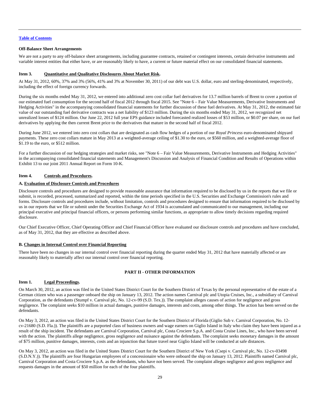## <span id="page-30-0"></span>**Off-Balance Sheet Arrangements**

We are not a party to any off-balance sheet arrangements, including guarantee contracts, retained or contingent interests, certain derivative instruments and variable interest entities that either have, or are reasonably likely to have, a current or future material effect on our consolidated financial statements.

## **Item 3. Quantitative and Qualitative Disclosures About Market Risk.**

At May 31, 2012, 60%, 37% and 3% (56%, 41% and 3% at November 30, 2011) of our debt was U.S. dollar, euro and sterling-denominated, respectively, including the effect of foreign currency forwards.

During the six months ended May 31, 2012, we entered into additional zero cost collar fuel derivatives for 13.7 million barrels of Brent to cover a portion of our estimated fuel consumption for the second half of fiscal 2012 through fiscal 2015. See "Note 6 – Fair Value Measurements, Derivative Instruments and Hedging Activities" in the accompanying consolidated financial statements for further discussion of these fuel derivatives. At May 31, 2012, the estimated fair value of our outstanding fuel derivative contracts was a net liability of \$123 million. During the six months ended May 31, 2012, we recognized net unrealized losses of \$124 million. Our June 22, 2012 full year EPS guidance included forecasted realized losses of \$53 million, or \$0.07 per share, on our fuel derivatives by applying the then current Brent price to the derivatives that mature in the second half of fiscal 2012.

During June 2012, we entered into zero cost collars that are designated as cash flow hedges of a portion of our *Royal Princess* euro-denominated shipyard payments. These zero cost collars mature in May 2013 at a weighted-average ceiling of \$1.30 to the euro, or \$560 million, and a weighted-average floor of \$1.19 to the euro, or \$512 million.

For a further discussion of our hedging strategies and market risks, see "Note 6 – Fair Value Measurements, Derivative Instruments and Hedging Activities" in the accompanying consolidated financial statements and Management's Discussion and Analysis of Financial Condition and Results of Operations within Exhibit 13 to our joint 2011 Annual Report on Form 10-K.

## **Item 4. Controls and Procedures.**

## **A. Evaluation of Disclosure Controls and Procedures**

Disclosure controls and procedures are designed to provide reasonable assurance that information required to be disclosed by us in the reports that we file or submit, is recorded, processed, summarized and reported, within the time periods specified in the U.S. Securities and Exchange Commission's rules and forms. Disclosure controls and procedures include, without limitation, controls and procedures designed to ensure that information required to be disclosed by us in our reports that we file or submit under the Securities Exchange Act of 1934 is accumulated and communicated to our management, including our principal executive and principal financial officers, or persons performing similar functions, as appropriate to allow timely decisions regarding required disclosure.

Our Chief Executive Officer, Chief Operating Officer and Chief Financial Officer have evaluated our disclosure controls and procedures and have concluded, as of May 31, 2012, that they are effective as described above.

## **B. Changes in Internal Control over Financial Reporting**

There have been no changes in our internal control over financial reporting during the quarter ended May 31, 2012 that have materially affected or are reasonably likely to materially affect our internal control over financial reporting.

## **PART II - OTHER INFORMATION**

## **Item 1. Legal Proceedings.**

On March 30, 2012, an action was filed in the United States District Court for the Southern District of Texas by the personal representative of the estate of a German citizen who was a passenger onboard the ship on January 13, 2012. The action names Carnival plc and Utopia Cruises, Inc., a subsidiary of Carnival Corporation, as the defendants (Stumpf v. Carnival plc, No. 12-cv-99 (S.D. Tex.)). The complaint alleges causes of action for negligence and gross negligence. The complaint seeks \$10 million in actual damages, punitive damages, interests and costs, among other things. The action has been served on the defendants.

On May 3, 2012, an action was filed in the United States District Court for the Southern District of Florida (Giglio Sub v. Carnival Corporation, No. 12 cv-21680 (S.D. Fla.)). The plaintiffs are a purported class of business owners and wage earners on Giglio Island in Italy who claim they have been injured as a result of the ship incident. The defendants are Carnival Corporation, Carnival plc, Costa Crociere S.p.A. and Costa Cruise Lines, Inc., who have been served with the action. The plaintiffs allege negligence, gross negligence and nuisance against the defendants. The complaint seeks monetary damages in the amount of \$75 million, punitive damages, interests, costs and an injunction that future travel near Giglio Island will be conducted at safe distances.

On May 3, 2012, an action was filed in the United States District Court for the Southern District of New York (Csepi v. Carnival plc, No. 12-cv-03498 (S.D.N.Y.)). The plaintiffs are four Hungarian employees of a concessionaire who were onboard the ship on January 13, 2012. Plaintiffs named Carnival plc, Carnival Corporation and Costa Crociere S.p.A. as the defendants, who have not been served. The complaint alleges negligence and gross negligence and requests damages in the amount of \$50 million for each of the four plaintiffs.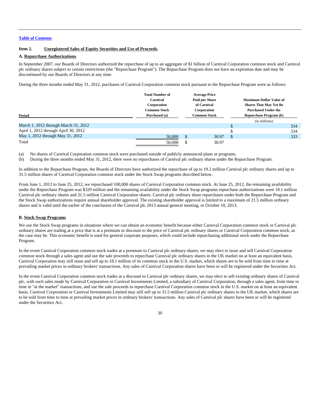## <span id="page-31-0"></span>**Item 2. Unregistered Sales of Equity Securities and Use of Proceeds.**

## **A. Repurchase Authorizations**

In September 2007, our Boards of Directors authorized the repurchase of up to an aggregate of \$1 billion of Carnival Corporation common stock and Carnival plc ordinary shares subject to certain restrictions (the "Repurchase Program"). The Repurchase Program does not have an expiration date and may be discontinued by our Boards of Directors at any time.

During the three months ended May 31, 2012, purchases of Carnival Corporation common stock pursuant to the Repurchase Program were as follows:

| Period                               | <b>Total Number of</b><br>Carnival<br>Corporation<br><b>Common Stock</b><br>Purchased (a) |   | <b>Average Price</b><br>Paid per Share<br>of Carnival<br>Corporation<br>Common Stock |   | <b>Maximum Dollar Value of</b><br><b>Shares That May Yet Be</b><br><b>Purchased Under the</b><br><b>Repurchase Program (b)</b> |     |  |  |
|--------------------------------------|-------------------------------------------------------------------------------------------|---|--------------------------------------------------------------------------------------|---|--------------------------------------------------------------------------------------------------------------------------------|-----|--|--|
|                                      |                                                                                           |   |                                                                                      |   | (in millions)                                                                                                                  |     |  |  |
| March 1, 2012 through March 31, 2012 |                                                                                           |   |                                                                                      |   |                                                                                                                                | 334 |  |  |
| April 1, 2012 through April 30, 2012 |                                                                                           |   |                                                                                      |   |                                                                                                                                | 334 |  |  |
| May 1, 2012 through May 31, 2012     | 50,000                                                                                    | S | 30.97                                                                                | S |                                                                                                                                | 333 |  |  |
| Total                                | 50,000                                                                                    |   | 30.97                                                                                |   |                                                                                                                                |     |  |  |

(a) No shares of Carnival Corporation common stock were purchased outside of publicly announced plans or programs.

(b) During the three months ended May 31, 2012, there were no repurchases of Carnival plc ordinary shares under the Repurchase Program.

In addition to the Repurchase Program, the Boards of Directors have authorized the repurchase of up to 19.2 million Carnival plc ordinary shares and up to 31.5 million shares of Carnival Corporation common stock under the Stock Swap programs described below.

From June 1, 2012 to June 25, 2012, we repurchased 100,000 shares of Carnival Corporation common stock. At June 25, 2012, the remaining availability under the Repurchase Program was \$329 million and the remaining availability under the Stock Swap programs repurchase authorizations were 18.1 million Carnival plc ordinary shares and 31.5 million Carnival Corporation shares. Carnival plc ordinary share repurchases under both the Repurchase Program and the Stock Swap authorizations require annual shareholder approval. The existing shareholder approval is limited to a maximum of 21.5 million ordinary shares and is valid until the earlier of the conclusion of the Carnival plc 2013 annual general meeting, or October 10, 2013.

## **B. Stock Swap Programs**

We use the Stock Swap programs in situations where we can obtain an economic benefit because either Carnival Corporation common stock or Carnival plc ordinary shares are trading at a price that is at a premium or discount to the price of Carnival plc ordinary shares or Carnival Corporation common stock, as the case may be. This economic benefit is used for general corporate purposes, which could include repurchasing additional stock under the Repurchase Program.

In the event Carnival Corporation common stock trades at a premium to Carnival plc ordinary shares, we may elect to issue and sell Carnival Corporation common stock through a sales agent and use the sale proceeds to repurchase Carnival plc ordinary shares in the UK market on at least an equivalent basis. Carnival Corporation may still issue and sell up to 18.1 million of its common stock in the U.S. market, which shares are to be sold from time to time at prevailing market prices in ordinary brokers' transactions. Any sales of Carnival Corporation shares have been or will be registered under the Securities Act.

In the event Carnival Corporation common stock trades at a discount to Carnival plc ordinary shares, we may elect to sell existing ordinary shares of Carnival plc, with such sales made by Carnival Corporation or Carnival Investments Limited, a subsidiary of Carnival Corporation, through a sales agent, from time to time in "at the market" transactions, and use the sale proceeds to repurchase Carnival Corporation common stock in the U.S. market on at least an equivalent basis. Carnival Corporation or Carnival Investments Limited may still sell up to 31.5 million Carnival plc ordinary shares in the UK market, which shares are to be sold from time to time at prevailing market prices in ordinary brokers' transactions. Any sales of Carnival plc shares have been or will be registered under the Securities Act.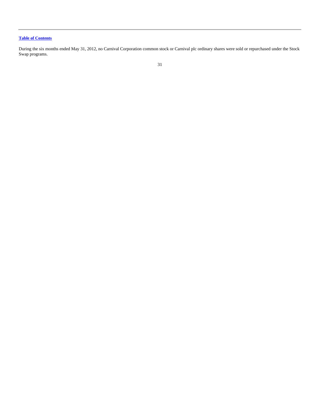During the six months ended May 31, 2012, no Carnival Corporation common stock or Carnival plc ordinary shares were sold or repurchased under the Stock Swap programs.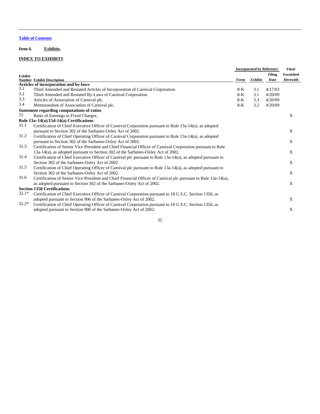## <span id="page-33-0"></span>**Item 6. Exhibits.**

## **INDEX TO EXHIBITS**

|                |                                                                                                                |       | <b>Incorporated by Reference</b> |               | Filed/           |
|----------------|----------------------------------------------------------------------------------------------------------------|-------|----------------------------------|---------------|------------------|
| <b>Exhibit</b> |                                                                                                                |       |                                  | <b>Filing</b> | <b>Furnished</b> |
|                | <b>Number Exhibit Description</b>                                                                              | Form  | <b>Exhibit</b>                   | Date          | Herewith         |
|                | Articles of incorporation and by-laws                                                                          |       |                                  |               |                  |
| 3.1            | Third Amended and Restated Articles of Incorporation of Carnival Corporation.                                  | $8-K$ | 3.1                              | 4/17/03       |                  |
| 3.2            | Third Amended and Restated By-Laws of Carnival Corporation.                                                    | $8-K$ | 3.1                              | 4/20/09       |                  |
| 3.3            | Articles of Association of Carnival plc.                                                                       | $8-K$ | 3.3                              | 4/20/09       |                  |
| 3.4            | Memorandum of Association of Carnival plc.                                                                     | 8-K   | 3.2                              | 4/20/09       |                  |
|                | <b>Statement regarding computations of ratios</b>                                                              |       |                                  |               |                  |
| 12             | Ratio of Earnings to Fixed Charges.                                                                            |       |                                  |               | X                |
|                | Rule $13a-14(a)/15d-14(a)$ Certifications                                                                      |       |                                  |               |                  |
| 31.1           | Certification of Chief Executive Officer of Carnival Corporation pursuant to Rule 13a-14(a), as adopted        |       |                                  |               |                  |
|                | pursuant to Section 302 of the Sarbanes-Oxley Act of 2002.                                                     |       |                                  |               | X                |
| 31.2           | Certification of Chief Operating Officer of Carnival Corporation pursuant to Rule 13a-14(a), as adopted        |       |                                  |               |                  |
|                | pursuant to Section 302 of the Sarbanes-Oxley Act of 2002.                                                     |       |                                  |               | X                |
| 31.3           | Certification of Senior Vice President and Chief Financial Officer of Carnival Corporation pursuant to Rule    |       |                                  |               |                  |
|                | 13a-14(a), as adopted pursuant to Section 302 of the Sarbanes-Oxley Act of 2002.                               |       |                                  |               | X                |
| 31.4           | Certification of Chief Executive Officer of Carnival plc pursuant to Rule 13a-14(a), as adopted pursuant to    |       |                                  |               |                  |
|                | Section 302 of the Sarbanes-Oxley Act of 2002.                                                                 |       |                                  |               | X                |
| 31.5           | Certification of Chief Operating Officer of Carnival plc pursuant to Rule 13a-14(a), as adopted pursuant to    |       |                                  |               |                  |
|                | Section 302 of the Sarbanes-Oxley Act of 2002.                                                                 |       |                                  |               | X                |
| 31.6           | Certification of Senior Vice President and Chief Financial Officer of Carnival plc pursuant to Rule 13a-14(a), |       |                                  |               |                  |
|                | as adopted pursuant to Section 302 of the Sarbanes-Oxley Act of 2002.                                          |       |                                  |               | X                |
|                | <b>Section 1350 Certifications</b>                                                                             |       |                                  |               |                  |
| $32.1*$        | Certification of Chief Executive Officer of Carnival Corporation pursuant to 18 U.S.C. Section 1350, as        |       |                                  |               |                  |
|                | adopted pursuant to Section 906 of the Sarbanes-Oxley Act of 2002.                                             |       |                                  |               | X                |
| $32.2*$        | Certification of Chief Operating Officer of Carnival Corporation pursuant to 18 U.S.C. Section 1350, as        |       |                                  |               |                  |
|                | adopted pursuant to Section 906 of the Sarbanes-Oxley Act of 2002.                                             |       |                                  |               | X                |
|                |                                                                                                                |       |                                  |               |                  |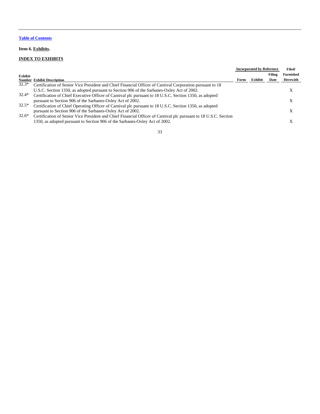## **Item 6. Exhibits.**

## **INDEX TO EXHIBITS**

|         |                                                                                                                  |      | <b>Incorporated by Reference</b> |        | Filed/           |
|---------|------------------------------------------------------------------------------------------------------------------|------|----------------------------------|--------|------------------|
| Exhibit |                                                                                                                  |      |                                  | Filing | <b>Furnished</b> |
|         | <b>Number Exhibit Description</b>                                                                                | Form | <b>Exhibit</b>                   | Date   | Herewith         |
| $32.3*$ | Certification of Senior Vice President and Chief Financial Officer of Carnival Corporation pursuant to 18        |      |                                  |        |                  |
|         | U.S.C. Section 1350, as adopted pursuant to Section 906 of the Sarbanes-Oxley Act of 2002.                       |      |                                  |        |                  |
| $32.4*$ | Certification of Chief Executive Officer of Carnival plc pursuant to 18 U.S.C. Section 1350, as adopted          |      |                                  |        |                  |
|         | pursuant to Section 906 of the Sarbanes-Oxley Act of 2002.                                                       |      |                                  |        |                  |
| $32.5*$ | Certification of Chief Operating Officer of Carnival plc pursuant to 18 U.S.C. Section 1350, as adopted          |      |                                  |        |                  |
|         | pursuant to Section 906 of the Sarbanes-Oxley Act of 2002.                                                       |      |                                  |        | X                |
| $32.6*$ | Certification of Senior Vice President and Chief Financial Officer of Carnival plc pursuant to 18 U.S.C. Section |      |                                  |        |                  |
|         | 1350, as adopted pursuant to Section 906 of the Sarbanes-Oxley Act of 2002.                                      |      |                                  |        | X                |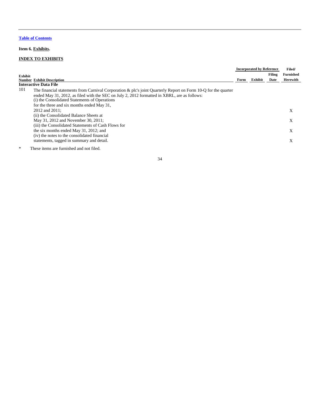## **Item 6. Exhibits.**

## **INDEX TO EXHIBITS**

|                |                                                                                                                                                                                                                                                                                                               |      | <b>Incorporated by Reference</b> |                | Filed/                              |
|----------------|---------------------------------------------------------------------------------------------------------------------------------------------------------------------------------------------------------------------------------------------------------------------------------------------------------------|------|----------------------------------|----------------|-------------------------------------|
| <b>Exhibit</b> | <b>Number Exhibit Description</b>                                                                                                                                                                                                                                                                             | Form | Exhibit                          | Filing<br>Date | <b>Furnished</b><br><b>Herewith</b> |
|                | <b>Interactive Data File</b>                                                                                                                                                                                                                                                                                  |      |                                  |                |                                     |
| 101            | The financial statements from Carnival Corporation & plc's joint Quarterly Report on Form 10-Q for the quarter<br>ended May 31, 2012, as filed with the SEC on July 2, 2012 formatted in XBRL, are as follows:<br>(i) the Consolidated Statements of Operations<br>for the three and six months ended May 31, |      |                                  |                |                                     |
|                | 2012 and 2011:                                                                                                                                                                                                                                                                                                |      |                                  |                | Χ                                   |
|                | (ii) the Consolidated Balance Sheets at<br>May 31, 2012 and November 30, 2011;<br>(iii) the Consolidated Statements of Cash Flows for                                                                                                                                                                         |      |                                  |                | Χ                                   |
|                | the six months ended May 31, 2012; and<br>(iv) the notes to the consolidated financial                                                                                                                                                                                                                        |      |                                  |                | Χ                                   |
|                | statements, tagged in summary and detail.                                                                                                                                                                                                                                                                     |      |                                  |                | X                                   |
|                |                                                                                                                                                                                                                                                                                                               |      |                                  |                |                                     |

\* These items are furnished and not filed.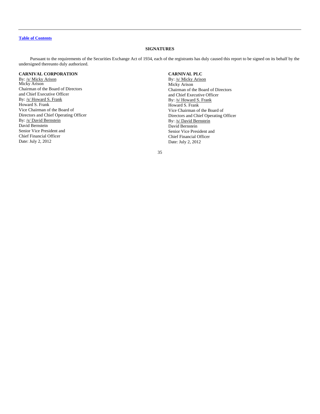## **SIGNATURES**

<span id="page-36-0"></span>Pursuant to the requirements of the Securities Exchange Act of 1934, each of the registrants has duly caused this report to be signed on its behalf by the undersigned thereunto duly authorized.

## **CARNIVAL CORPORATION CARNIVAL PLC**

By: /s/ Micky Arison By: /s/ Micky Arison Micky Arison Micky Arison Micky Arison Micky Arison Chairman of the Board of Directors Chairman of the Micky Arison Chairman of the Micky Arison Chairman of the Micky Arison Chairman of the Micky Arison Chairman of the Mic Chairman of the Board of Directors<br>
and Chief Executive Officer<br>
School and Chief Executive Officer<br>
Chairman of the Board of Directors<br>
Chairman of the Board of Directors<br>
Chairman of the Board of Directors and Chief Executive Officer<br>
By: /s/ Howard S. Frank<br>
By: /s/ Howard S. Frank By: <u>/s/ Howard S. Frank</u><br>
By: <u>/s/ Howard S. Frank</u><br>
Howard S. Frank By: *S/ Howard S. Frank* Howard S. Frank **Howard S. Frank** Howard S. Frank **Howard S. Frank** Howard S. Frank **Howard S. Frank**  $\sigma$ Vice Chairman of the Board of Directors and Chief Operating Officer<br>
Directors and Chief Operating Officer<br>
Vice Chairman of the Board of Directors and Chief Operating Officer By: /s/ David Bernstein By: /s/ David Bernstein By: /s/ David Bernstein By: /s/ David Bernstein By: /s/ David Bernstein David Bernstein<br>
Senior Vice President and<br>
Senior Vice Pres Senior Vice President and Senior Vice President and Senior Vice President and Senior Vice President and Senior Vice President and Senior Vice President and Senior Vice President and Senior Vice President and Senior Vice Pr Chief Financial Officer<br>
Date: July 2, 2012<br>
Date: July 2, 2012<br>
Date: July 2, 2012

Directors and Chief Operating Officer<br>
By: /s/ David Bernstein<br>
By: /s/ David Bernstein<br>
By: /s/ David Bernstein Date: July 2, 2012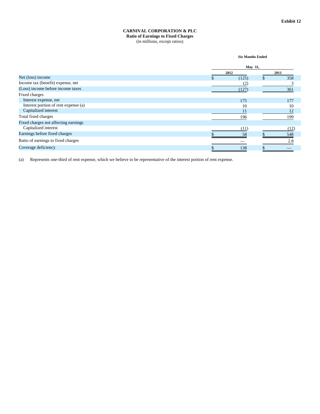## **CARNIVAL CORPORATION & PLC Ratio of Earnings to Fixed Charges** (in millions, except ratios)

## **Six Months Ended**

|                                      | May 31, |       |      |      |
|--------------------------------------|---------|-------|------|------|
|                                      | 2012    |       | 2011 |      |
| Net (loss) income                    |         | (125) |      | 358  |
| Income tax (benefit) expense, net    |         |       |      |      |
| (Loss) income before income taxes    |         | (127) |      | 361  |
| Fixed charges                        |         |       |      |      |
| Interest expense, net                |         | 175   |      | 177  |
| Interest portion of rent expense (a) |         | 10    |      | 10   |
| Capitalized interest                 |         | 11    |      | 12   |
| Total fixed charges                  |         | 196   |      | 199  |
| Fixed charges not affecting earnings |         |       |      |      |
| Capitalized interest                 |         | (11)  |      | (12) |
| Earnings before fixed charges        |         | 58    |      | 548  |
| Ratio of earnings to fixed charges   |         |       |      | 2.8  |
| Coverage deficiency                  |         | 138   |      |      |

(a) Represents one-third of rent expense, which we believe to be representative of the interest portion of rent expense.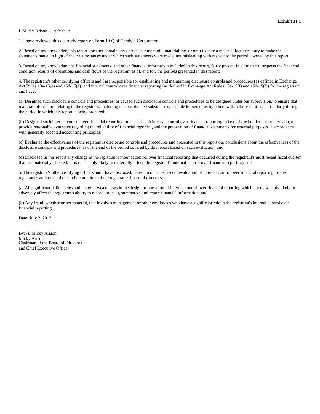I, Micky Arison, certify that:

1. I have reviewed this quarterly report on Form 10-Q of Carnival Corporation;

2. Based on my knowledge, this report does not contain any untrue statement of a material fact or omit to state a material fact necessary to make the statements made, in light of the circumstances under which such statements were made, not misleading with respect to the period covered by this report;

3. Based on my knowledge, the financial statements, and other financial information included in this report, fairly present in all material respects the financial condition, results of operations and cash flows of the registrant as of, and for, the periods presented in this report;

4. The registrant's other certifying officers and I are responsible for establishing and maintaining disclosure controls and procedures (as defined in Exchange Act Rules 13a-15(e) and 15d-15(e)) and internal control over financial reporting (as defined in Exchange Act Rules 13a-15(f) and 15d-15(f)) for the registrant and have:

(a) Designed such disclosure controls and procedures, or caused such disclosure controls and procedures to be designed under our supervision, to ensure that material information relating to the registrant, including its consolidated subsidiaries, is made known to us by others within those entities, particularly during the period in which this report is being prepared;

(b) Designed such internal control over financial reporting, or caused such internal control over financial reporting to be designed under our supervision, to provide reasonable assurance regarding the reliability of financial reporting and the preparation of financial statements for external purposes in accordance with generally accepted accounting principles;

(c) Evaluated the effectiveness of the registrant's disclosure controls and procedures and presented in this report our conclusions about the effectiveness of the disclosure controls and procedures, as of the end of the period covered by this report based on such evaluation; and

(d) Disclosed in this report any change in the registrant's internal control over financial reporting that occurred during the registrant's most recent fiscal quarter that has materially affected, or is reasonably likely to materially affect, the registrant's internal control over financial reporting; and

5. The registrant's other certifying officers and I have disclosed, based on our most recent evaluation of internal control over financial reporting, to the registrant's auditors and the audit committee of the registrant's board of directors:

(a) All significant deficiencies and material weaknesses in the design or operation of internal control over financial reporting which are reasonably likely to adversely affect the registrant's ability to record, process, summarize and report financial information; and

(b) Any fraud, whether or not material, that involves management or other employees who have a significant role in the registrant's internal control over financial reporting.

Date: July 2, 2012

By: /s/ Micky Arison Micky Arison Chairman of the Board of Directors and Chief Executive Officer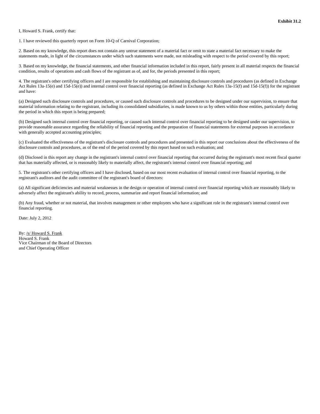I, Howard S. Frank, certify that:

1. I have reviewed this quarterly report on Form 10-Q of Carnival Corporation;

2. Based on my knowledge, this report does not contain any untrue statement of a material fact or omit to state a material fact necessary to make the statements made, in light of the circumstances under which such statements were made, not misleading with respect to the period covered by this report;

3. Based on my knowledge, the financial statements, and other financial information included in this report, fairly present in all material respects the financial condition, results of operations and cash flows of the registrant as of, and for, the periods presented in this report;

4. The registrant's other certifying officers and I are responsible for establishing and maintaining disclosure controls and procedures (as defined in Exchange Act Rules 13a-15(e) and 15d-15(e)) and internal control over financial reporting (as defined in Exchange Act Rules 13a-15(f) and 15d-15(f)) for the registrant and have:

(a) Designed such disclosure controls and procedures, or caused such disclosure controls and procedures to be designed under our supervision, to ensure that material information relating to the registrant, including its consolidated subsidiaries, is made known to us by others within those entities, particularly during the period in which this report is being prepared;

(b) Designed such internal control over financial reporting, or caused such internal control over financial reporting to be designed under our supervision, to provide reasonable assurance regarding the reliability of financial reporting and the preparation of financial statements for external purposes in accordance with generally accepted accounting principles;

(c) Evaluated the effectiveness of the registrant's disclosure controls and procedures and presented in this report our conclusions about the effectiveness of the disclosure controls and procedures, as of the end of the period covered by this report based on such evaluation; and

(d) Disclosed in this report any change in the registrant's internal control over financial reporting that occurred during the registrant's most recent fiscal quarter that has materially affected, or is reasonably likely to materially affect, the registrant's internal control over financial reporting; and

5. The registrant's other certifying officers and I have disclosed, based on our most recent evaluation of internal control over financial reporting, to the registrant's auditors and the audit committee of the registrant's board of directors:

(a) All significant deficiencies and material weaknesses in the design or operation of internal control over financial reporting which are reasonably likely to adversely affect the registrant's ability to record, process, summarize and report financial information; and

(b) Any fraud, whether or not material, that involves management or other employees who have a significant role in the registrant's internal control over financial reporting.

Date: July 2, 2012

By: /s/ Howard S. Frank Howard S. Frank Vice Chairman of the Board of Directors and Chief Operating Officer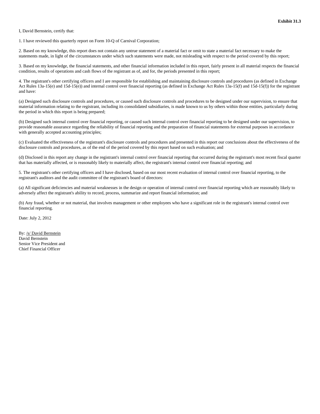I, David Bernstein, certify that:

1. I have reviewed this quarterly report on Form 10-Q of Carnival Corporation;

2. Based on my knowledge, this report does not contain any untrue statement of a material fact or omit to state a material fact necessary to make the statements made, in light of the circumstances under which such statements were made, not misleading with respect to the period covered by this report;

3. Based on my knowledge, the financial statements, and other financial information included in this report, fairly present in all material respects the financial condition, results of operations and cash flows of the registrant as of, and for, the periods presented in this report;

4. The registrant's other certifying officers and I are responsible for establishing and maintaining disclosure controls and procedures (as defined in Exchange Act Rules 13a-15(e) and 15d-15(e)) and internal control over financial reporting (as defined in Exchange Act Rules 13a-15(f) and 15d-15(f)) for the registrant and have:

(a) Designed such disclosure controls and procedures, or caused such disclosure controls and procedures to be designed under our supervision, to ensure that material information relating to the registrant, including its consolidated subsidiaries, is made known to us by others within those entities, particularly during the period in which this report is being prepared;

(b) Designed such internal control over financial reporting, or caused such internal control over financial reporting to be designed under our supervision, to provide reasonable assurance regarding the reliability of financial reporting and the preparation of financial statements for external purposes in accordance with generally accepted accounting principles;

(c) Evaluated the effectiveness of the registrant's disclosure controls and procedures and presented in this report our conclusions about the effectiveness of the disclosure controls and procedures, as of the end of the period covered by this report based on such evaluation; and

(d) Disclosed in this report any change in the registrant's internal control over financial reporting that occurred during the registrant's most recent fiscal quarter that has materially affected, or is reasonably likely to materially affect, the registrant's internal control over financial reporting; and

5. The registrant's other certifying officers and I have disclosed, based on our most recent evaluation of internal control over financial reporting, to the registrant's auditors and the audit committee of the registrant's board of directors:

(a) All significant deficiencies and material weaknesses in the design or operation of internal control over financial reporting which are reasonably likely to adversely affect the registrant's ability to record, process, summarize and report financial information; and

(b) Any fraud, whether or not material, that involves management or other employees who have a significant role in the registrant's internal control over financial reporting.

Date: July 2, 2012

By: /s/ David Bernstein David Bernstein Senior Vice President and Chief Financial Officer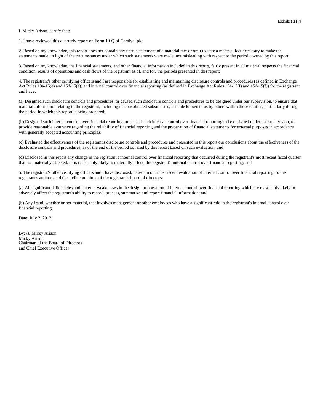I, Micky Arison, certify that:

1. I have reviewed this quarterly report on Form 10-Q of Carnival plc;

2. Based on my knowledge, this report does not contain any untrue statement of a material fact or omit to state a material fact necessary to make the statements made, in light of the circumstances under which such statements were made, not misleading with respect to the period covered by this report;

3. Based on my knowledge, the financial statements, and other financial information included in this report, fairly present in all material respects the financial condition, results of operations and cash flows of the registrant as of, and for, the periods presented in this report;

4. The registrant's other certifying officers and I are responsible for establishing and maintaining disclosure controls and procedures (as defined in Exchange Act Rules 13a-15(e) and 15d-15(e)) and internal control over financial reporting (as defined in Exchange Act Rules 13a-15(f) and 15d-15(f)) for the registrant and have:

(a) Designed such disclosure controls and procedures, or caused such disclosure controls and procedures to be designed under our supervision, to ensure that material information relating to the registrant, including its consolidated subsidiaries, is made known to us by others within those entities, particularly during the period in which this report is being prepared;

(b) Designed such internal control over financial reporting, or caused such internal control over financial reporting to be designed under our supervision, to provide reasonable assurance regarding the reliability of financial reporting and the preparation of financial statements for external purposes in accordance with generally accepted accounting principles;

(c) Evaluated the effectiveness of the registrant's disclosure controls and procedures and presented in this report our conclusions about the effectiveness of the disclosure controls and procedures, as of the end of the period covered by this report based on such evaluation; and

(d) Disclosed in this report any change in the registrant's internal control over financial reporting that occurred during the registrant's most recent fiscal quarter that has materially affected, or is reasonably likely to materially affect, the registrant's internal control over financial reporting; and

5. The registrant's other certifying officers and I have disclosed, based on our most recent evaluation of internal control over financial reporting, to the registrant's auditors and the audit committee of the registrant's board of directors:

(a) All significant deficiencies and material weaknesses in the design or operation of internal control over financial reporting which are reasonably likely to adversely affect the registrant's ability to record, process, summarize and report financial information; and

(b) Any fraud, whether or not material, that involves management or other employees who have a significant role in the registrant's internal control over financial reporting.

Date: July 2, 2012

By: /s/ Micky Arison Micky Arison Chairman of the Board of Directors and Chief Executive Officer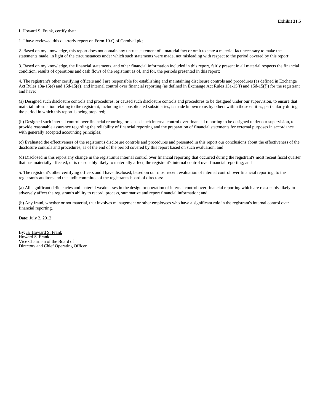I, Howard S. Frank, certify that:

1. I have reviewed this quarterly report on Form 10-Q of Carnival plc;

2. Based on my knowledge, this report does not contain any untrue statement of a material fact or omit to state a material fact necessary to make the statements made, in light of the circumstances under which such statements were made, not misleading with respect to the period covered by this report;

3. Based on my knowledge, the financial statements, and other financial information included in this report, fairly present in all material respects the financial condition, results of operations and cash flows of the registrant as of, and for, the periods presented in this report;

4. The registrant's other certifying officers and I are responsible for establishing and maintaining disclosure controls and procedures (as defined in Exchange Act Rules 13a-15(e) and 15d-15(e)) and internal control over financial reporting (as defined in Exchange Act Rules 13a-15(f) and 15d-15(f)) for the registrant and have:

(a) Designed such disclosure controls and procedures, or caused such disclosure controls and procedures to be designed under our supervision, to ensure that material information relating to the registrant, including its consolidated subsidiaries, is made known to us by others within those entities, particularly during the period in which this report is being prepared;

(b) Designed such internal control over financial reporting, or caused such internal control over financial reporting to be designed under our supervision, to provide reasonable assurance regarding the reliability of financial reporting and the preparation of financial statements for external purposes in accordance with generally accepted accounting principles;

(c) Evaluated the effectiveness of the registrant's disclosure controls and procedures and presented in this report our conclusions about the effectiveness of the disclosure controls and procedures, as of the end of the period covered by this report based on such evaluation; and

(d) Disclosed in this report any change in the registrant's internal control over financial reporting that occurred during the registrant's most recent fiscal quarter that has materially affected, or is reasonably likely to materially affect, the registrant's internal control over financial reporting; and

5. The registrant's other certifying officers and I have disclosed, based on our most recent evaluation of internal control over financial reporting, to the registrant's auditors and the audit committee of the registrant's board of directors:

(a) All significant deficiencies and material weaknesses in the design or operation of internal control over financial reporting which are reasonably likely to adversely affect the registrant's ability to record, process, summarize and report financial information; and

(b) Any fraud, whether or not material, that involves management or other employees who have a significant role in the registrant's internal control over financial reporting.

Date: July 2, 2012

By: /s/ Howard S. Frank Howard S. Frank Vice Chairman of the Board of Directors and Chief Operating Officer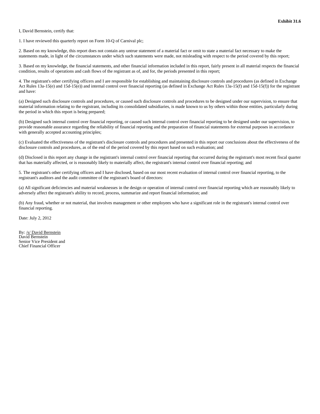I, David Bernstein, certify that:

1. I have reviewed this quarterly report on Form 10-Q of Carnival plc;

2. Based on my knowledge, this report does not contain any untrue statement of a material fact or omit to state a material fact necessary to make the statements made, in light of the circumstances under which such statements were made, not misleading with respect to the period covered by this report;

3. Based on my knowledge, the financial statements, and other financial information included in this report, fairly present in all material respects the financial condition, results of operations and cash flows of the registrant as of, and for, the periods presented in this report;

4. The registrant's other certifying officers and I are responsible for establishing and maintaining disclosure controls and procedures (as defined in Exchange Act Rules 13a-15(e) and 15d-15(e)) and internal control over financial reporting (as defined in Exchange Act Rules 13a-15(f) and 15d-15(f)) for the registrant and have:

(a) Designed such disclosure controls and procedures, or caused such disclosure controls and procedures to be designed under our supervision, to ensure that material information relating to the registrant, including its consolidated subsidiaries, is made known to us by others within those entities, particularly during the period in which this report is being prepared;

(b) Designed such internal control over financial reporting, or caused such internal control over financial reporting to be designed under our supervision, to provide reasonable assurance regarding the reliability of financial reporting and the preparation of financial statements for external purposes in accordance with generally accepted accounting principles;

(c) Evaluated the effectiveness of the registrant's disclosure controls and procedures and presented in this report our conclusions about the effectiveness of the disclosure controls and procedures, as of the end of the period covered by this report based on such evaluation; and

(d) Disclosed in this report any change in the registrant's internal control over financial reporting that occurred during the registrant's most recent fiscal quarter that has materially affected, or is reasonably likely to materially affect, the registrant's internal control over financial reporting; and

5. The registrant's other certifying officers and I have disclosed, based on our most recent evaluation of internal control over financial reporting, to the registrant's auditors and the audit committee of the registrant's board of directors:

(a) All significant deficiencies and material weaknesses in the design or operation of internal control over financial reporting which are reasonably likely to adversely affect the registrant's ability to record, process, summarize and report financial information; and

(b) Any fraud, whether or not material, that involves management or other employees who have a significant role in the registrant's internal control over financial reporting.

Date: July 2, 2012

By: /s/ David Bernstein David Bernstein Senior Vice President and Chief Financial Officer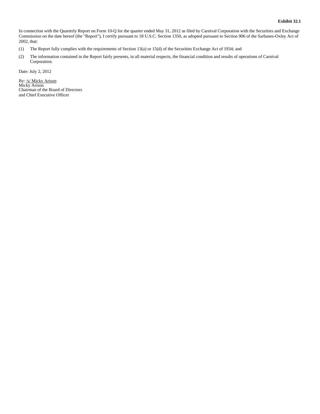In connection with the Quarterly Report on Form 10-Q for the quarter ended May 31, 2012 as filed by Carnival Corporation with the Securities and Exchange Commission on the date hereof (the "Report"), I certify pursuant to 18 U.S.C. Section 1350, as adopted pursuant to Section 906 of the Sarbanes-Oxley Act of 2002, that:

- (1) The Report fully complies with the requirements of Section 13(a) or 15(d) of the Securities Exchange Act of 1934; and
- (2) The information contained in the Report fairly presents, in all material respects, the financial condition and results of operations of Carnival Corporation.

Date: July 2, 2012

By: /s/ Micky Arison Micky Arison Chairman of the Board of Directors and Chief Executive Officer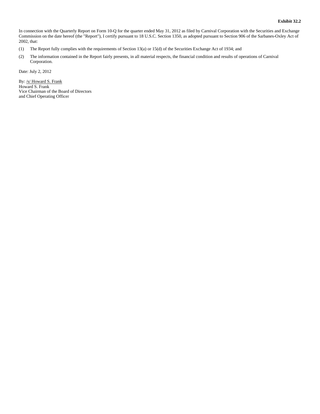In connection with the Quarterly Report on Form 10-Q for the quarter ended May 31, 2012 as filed by Carnival Corporation with the Securities and Exchange Commission on the date hereof (the "Report"), I certify pursuant to 18 U.S.C. Section 1350, as adopted pursuant to Section 906 of the Sarbanes-Oxley Act of 2002, that:

- (1) The Report fully complies with the requirements of Section 13(a) or 15(d) of the Securities Exchange Act of 1934; and
- (2) The information contained in the Report fairly presents, in all material respects, the financial condition and results of operations of Carnival Corporation.

Date: July 2, 2012

By: /s/ Howard S. Frank Howard S. Frank Vice Chairman of the Board of Directors and Chief Operating Officer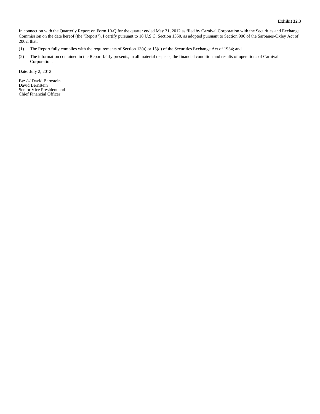In connection with the Quarterly Report on Form 10-Q for the quarter ended May 31, 2012 as filed by Carnival Corporation with the Securities and Exchange Commission on the date hereof (the "Report"), I certify pursuant to 18 U.S.C. Section 1350, as adopted pursuant to Section 906 of the Sarbanes-Oxley Act of 2002, that:

- (1) The Report fully complies with the requirements of Section 13(a) or 15(d) of the Securities Exchange Act of 1934; and
- (2) The information contained in the Report fairly presents, in all material respects, the financial condition and results of operations of Carnival Corporation.

Date: July 2, 2012

By: /s/ David Bernstein David Bernstein Senior Vice President and Chief Financial Officer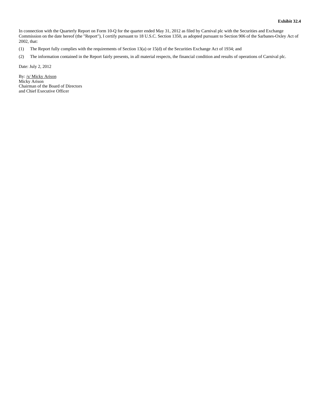In connection with the Quarterly Report on Form 10-Q for the quarter ended May 31, 2012 as filed by Carnival plc with the Securities and Exchange Commission on the date hereof (the "Report"), I certify pursuant to 18 U.S.C. Section 1350, as adopted pursuant to Section 906 of the Sarbanes-Oxley Act of 2002, that:

- (1) The Report fully complies with the requirements of Section 13(a) or 15(d) of the Securities Exchange Act of 1934; and
- (2) The information contained in the Report fairly presents, in all material respects, the financial condition and results of operations of Carnival plc.

Date: July 2, 2012

By: /s/ Micky Arison Micky Arison Chairman of the Board of Directors and Chief Executive Officer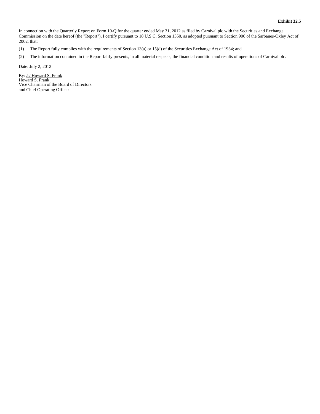In connection with the Quarterly Report on Form 10-Q for the quarter ended May 31, 2012 as filed by Carnival plc with the Securities and Exchange Commission on the date hereof (the "Report"), I certify pursuant to 18 U.S.C. Section 1350, as adopted pursuant to Section 906 of the Sarbanes-Oxley Act of 2002, that:

- (1) The Report fully complies with the requirements of Section 13(a) or 15(d) of the Securities Exchange Act of 1934; and
- (2) The information contained in the Report fairly presents, in all material respects, the financial condition and results of operations of Carnival plc.

Date: July 2, 2012

By: /s/ Howard S. Frank Howard S. Frank Vice Chairman of the Board of Directors and Chief Operating Officer